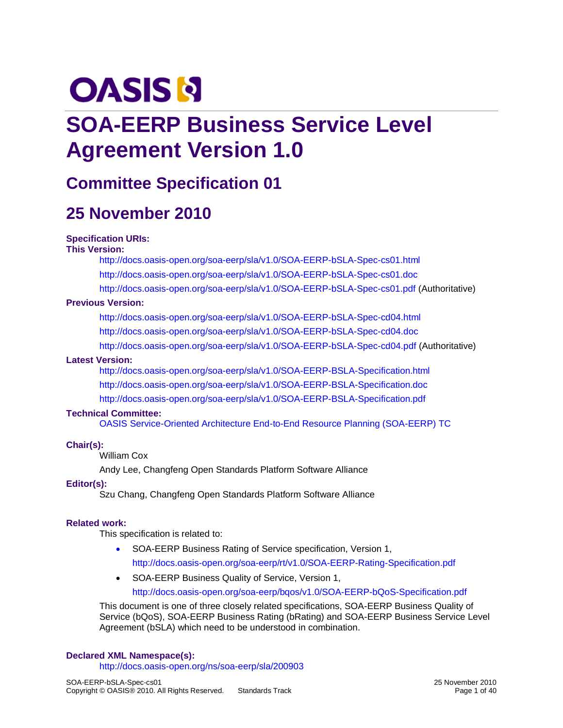# **OASIS N SOA-EERP Business Service Level Agreement Version 1.0**

# **Committee Specification 01**

# **25 November 2010**

#### **Specification URIs:**

#### **This Version:**

<http://docs.oasis-open.org/soa-eerp/sla/v1.0/SOA-EERP-bSLA-Spec-cs01.html> <http://docs.oasis-open.org/soa-eerp/sla/v1.0/SOA-EERP-bSLA-Spec-cs01.doc> <http://docs.oasis-open.org/soa-eerp/sla/v1.0/SOA-EERP-bSLA-Spec-cs01.pdf> (Authoritative)

#### **Previous Version:**

<http://docs.oasis-open.org/soa-eerp/sla/v1.0/SOA-EERP-bSLA-Spec-cd04.html> <http://docs.oasis-open.org/soa-eerp/sla/v1.0/SOA-EERP-bSLA-Spec-cd04.doc> <http://docs.oasis-open.org/soa-eerp/sla/v1.0/SOA-EERP-bSLA-Spec-cd04.pdf> (Authoritative)

#### **Latest Version:**

<http://docs.oasis-open.org/soa-eerp/sla/v1.0/SOA-EERP-BSLA-Specification.html> <http://docs.oasis-open.org/soa-eerp/sla/v1.0/SOA-EERP-BSLA-Specification.doc> <http://docs.oasis-open.org/soa-eerp/sla/v1.0/SOA-EERP-BSLA-Specification.pdf>

#### **Technical Committee:**

[OASIS Service-Oriented Architecture End-to-End Resource Planning \(SOA-EERP\) TC](http://www.oasis-open.org/committees/tc_home.php?wg_abbrev=soa-eerp)

#### **Chair(s):**

William Cox

Andy Lee, Changfeng Open Standards Platform Software Alliance

#### **Editor(s):**

Szu Chang, Changfeng Open Standards Platform Software Alliance

#### **Related work:**

This specification is related to:

- SOA-EERP Business Rating of Service specification, Version 1, <http://docs.oasis-open.org/soa-eerp/rt/v1.0/SOA-EERP-Rating-Specification.pdf>
- SOA-EERP Business Quality of Service, Version 1,

<http://docs.oasis-open.org/soa-eerp/bqos/v1.0/SOA-EERP-bQoS-Specification.pdf>

This document is one of three closely related specifications, SOA-EERP Business Quality of Service (bQoS), SOA-EERP Business Rating (bRating) and SOA-EERP Business Service Level Agreement (bSLA) which need to be understood in combination.

#### **Declared XML Namespace(s):** <http://docs.oasis-open.org/ns/soa-eerp/sla/200903>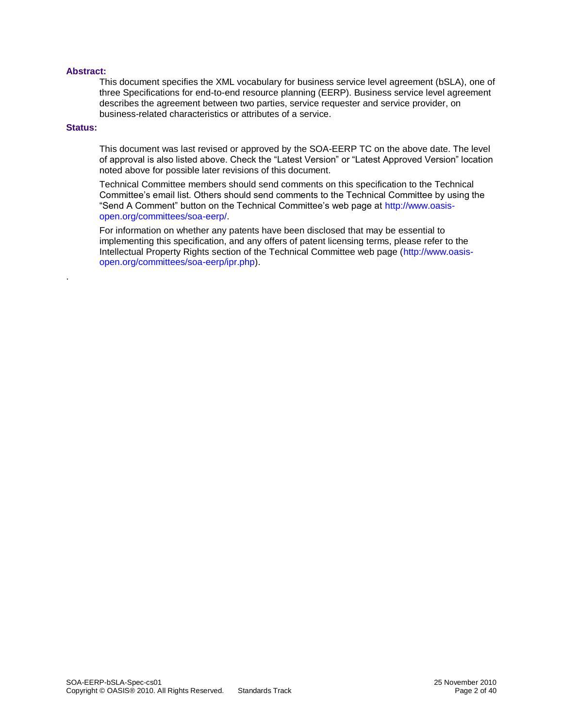#### **Abstract:**

This document specifies the XML vocabulary for business service level agreement (bSLA), one of three Specifications for end-to-end resource planning (EERP). Business service level agreement describes the agreement between two parties, service requester and service provider, on business-related characteristics or attributes of a service.

#### **Status:**

.

This document was last revised or approved by the SOA-EERP TC on the above date. The level of approval is also listed above. Check the "Latest Version" or "Latest Approved Version" location noted above for possible later revisions of this document.

Technical Committee members should send comments on this specification to the Technical Committee's email list. Others should send comments to the Technical Committee by using the "Send A Comment" button on the Technical Committee's web page at [http://www.oasis](http://www.oasis-open.org/committees/soa-eerp/)[open.org/committees/soa-eerp/.](http://www.oasis-open.org/committees/soa-eerp/)

For information on whether any patents have been disclosed that may be essential to implementing this specification, and any offers of patent licensing terms, please refer to the Intellectual Property Rights section of the Technical Committee web page [\(http://www.oasis](http://www.oasis-open.org/committees/soa-eerp/ipr.php)[open.org/committees/soa-eerp/ipr.php\)](http://www.oasis-open.org/committees/soa-eerp/ipr.php).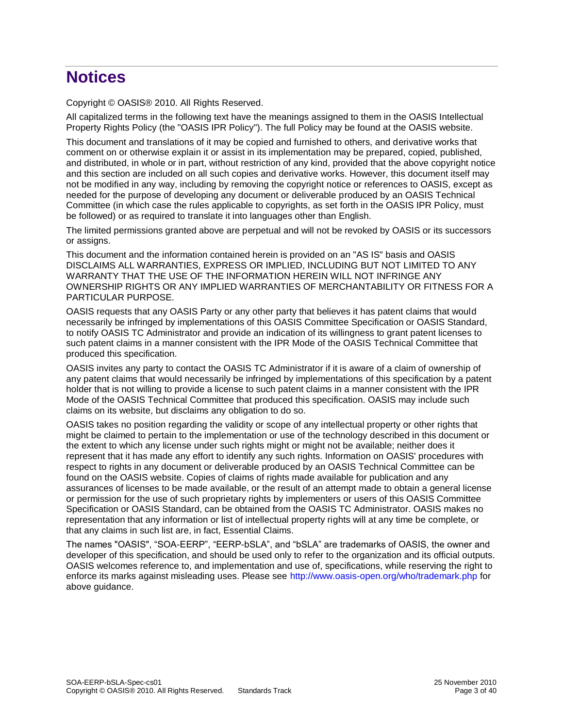# **Notices**

Copyright © OASIS® 2010. All Rights Reserved.

All capitalized terms in the following text have the meanings assigned to them in the OASIS Intellectual Property Rights Policy (the "OASIS IPR Policy"). The full Policy may be found at the OASIS website.

This document and translations of it may be copied and furnished to others, and derivative works that comment on or otherwise explain it or assist in its implementation may be prepared, copied, published, and distributed, in whole or in part, without restriction of any kind, provided that the above copyright notice and this section are included on all such copies and derivative works. However, this document itself may not be modified in any way, including by removing the copyright notice or references to OASIS, except as needed for the purpose of developing any document or deliverable produced by an OASIS Technical Committee (in which case the rules applicable to copyrights, as set forth in the OASIS IPR Policy, must be followed) or as required to translate it into languages other than English.

The limited permissions granted above are perpetual and will not be revoked by OASIS or its successors or assigns.

This document and the information contained herein is provided on an "AS IS" basis and OASIS DISCLAIMS ALL WARRANTIES, EXPRESS OR IMPLIED, INCLUDING BUT NOT LIMITED TO ANY WARRANTY THAT THE USE OF THE INFORMATION HEREIN WILL NOT INFRINGE ANY OWNERSHIP RIGHTS OR ANY IMPLIED WARRANTIES OF MERCHANTABILITY OR FITNESS FOR A PARTICULAR PURPOSE.

OASIS requests that any OASIS Party or any other party that believes it has patent claims that would necessarily be infringed by implementations of this OASIS Committee Specification or OASIS Standard, to notify OASIS TC Administrator and provide an indication of its willingness to grant patent licenses to such patent claims in a manner consistent with the IPR Mode of the OASIS Technical Committee that produced this specification.

OASIS invites any party to contact the OASIS TC Administrator if it is aware of a claim of ownership of any patent claims that would necessarily be infringed by implementations of this specification by a patent holder that is not willing to provide a license to such patent claims in a manner consistent with the IPR Mode of the OASIS Technical Committee that produced this specification. OASIS may include such claims on its website, but disclaims any obligation to do so.

OASIS takes no position regarding the validity or scope of any intellectual property or other rights that might be claimed to pertain to the implementation or use of the technology described in this document or the extent to which any license under such rights might or might not be available; neither does it represent that it has made any effort to identify any such rights. Information on OASIS' procedures with respect to rights in any document or deliverable produced by an OASIS Technical Committee can be found on the OASIS website. Copies of claims of rights made available for publication and any assurances of licenses to be made available, or the result of an attempt made to obtain a general license or permission for the use of such proprietary rights by implementers or users of this OASIS Committee Specification or OASIS Standard, can be obtained from the OASIS TC Administrator. OASIS makes no representation that any information or list of intellectual property rights will at any time be complete, or that any claims in such list are, in fact, Essential Claims.

The names "OASIS", "SOA-EERP", "EERP-bSLA", and "bSLA" are trademarks of OASIS, the owner and developer of this specification, and should be used only to refer to the organization and its official outputs. OASIS welcomes reference to, and implementation and use of, specifications, while reserving the right to enforce its marks against misleading uses. Please see<http://www.oasis-open.org/who/trademark.php> for above guidance.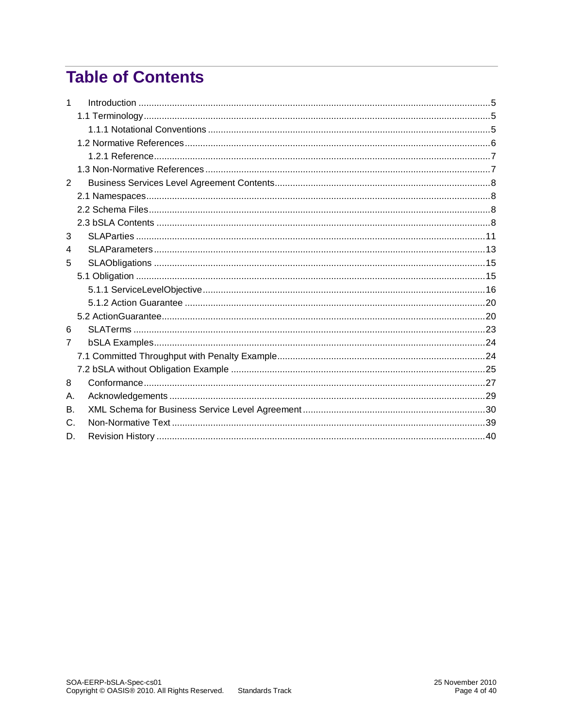# **Table of Contents**

| 1  |  |
|----|--|
|    |  |
|    |  |
|    |  |
|    |  |
|    |  |
| 2  |  |
|    |  |
|    |  |
|    |  |
| 3  |  |
| 4  |  |
| 5  |  |
|    |  |
|    |  |
|    |  |
|    |  |
| 6  |  |
| 7  |  |
|    |  |
|    |  |
| 8  |  |
| А. |  |
| В. |  |
| C. |  |
| D. |  |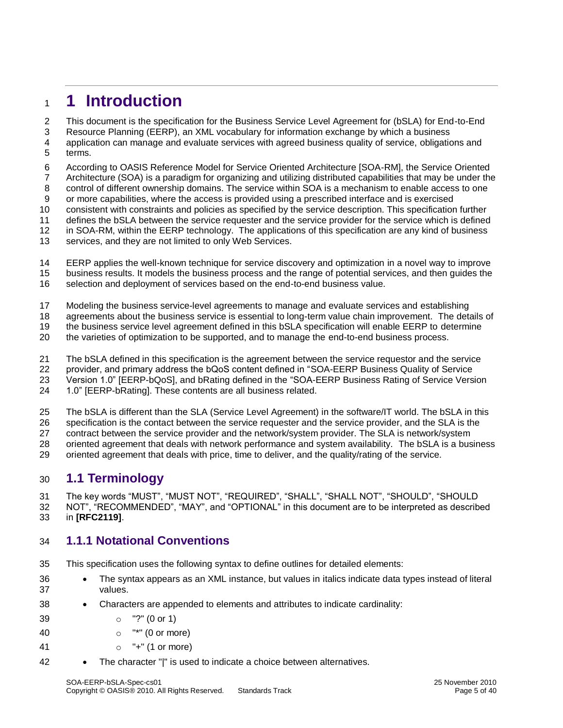# <span id="page-4-0"></span>**1 Introduction**

This document is the specification for the Business Service Level Agreement for (bSLA) for End-to-End

Resource Planning (EERP), an XML vocabulary for information exchange by which a business

 application can manage and evaluate services with agreed business quality of service, obligations and terms.

According to OASIS Reference Model for Service Oriented Architecture [SOA-RM], the Service Oriented

Architecture (SOA) is a paradigm for organizing and utilizing distributed capabilities that may be under the

control of different ownership domains. The service within SOA is a mechanism to enable access to one

or more capabilities, where the access is provided using a prescribed interface and is exercised

 consistent with constraints and policies as specified by the service description. This specification further defines the bSLA between the service requester and the service provider for the service which is defined

in SOA-RM, within the EERP technology. The applications of this specification are any kind of business

services, and they are not limited to only Web Services.

 EERP applies the well-known technique for service discovery and optimization in a novel way to improve business results. It models the business process and the range of potential services, and then guides the

selection and deployment of services based on the end-to-end business value.

Modeling the business service-level agreements to manage and evaluate services and establishing

agreements about the business service is essential to long-term value chain improvement. The details of

the business service level agreement defined in this bSLA specification will enable EERP to determine

the varieties of optimization to be supported, and to manage the end-to-end business process.

The bSLA defined in this specification is the agreement between the service requestor and the service

 provider, and primary address the bQoS content defined in "SOA-EERP Business Quality of Service 23 Version 1.0" [EERP-bQoS], and bRating defined in the "SOA-EERP Business Rating of Service Version

1.0" [EERP-bRating]. These contents are all business related.

The bSLA is different than the SLA (Service Level Agreement) in the software/IT world. The bSLA in this

specification is the contact between the service requester and the service provider, and the SLA is the

contract between the service provider and the network/system provider. The SLA is network/system

oriented agreement that deals with network performance and system availability. The bSLA is a business

<span id="page-4-1"></span>oriented agreement that deals with price, time to deliver, and the quality/rating of the service.

### **1.1 Terminology**

 The key words "MUST", "MUST NOT", "REQUIRED", "SHALL", "SHALL NOT", "SHOULD", "SHOULD 32 NOT", "RECOMMENDED", "MAY", and "OPTIONAL" in this document are to be interpreted as described in **[\[RFC2119\]](#page-5-1)**.

### <span id="page-4-2"></span>**1.1.1 Notational Conventions**

- This specification uses the following syntax to define outlines for detailed elements:
- The syntax appears as an XML instance, but values in italics indicate data types instead of literal values.
- Characters are appended to elements and attributes to indicate cardinality:
- o "?" (0 or 1)
- o "\*" (0 or more)
- o "+" (1 or more)
- **•** The character "|" is used to indicate a choice between alternatives.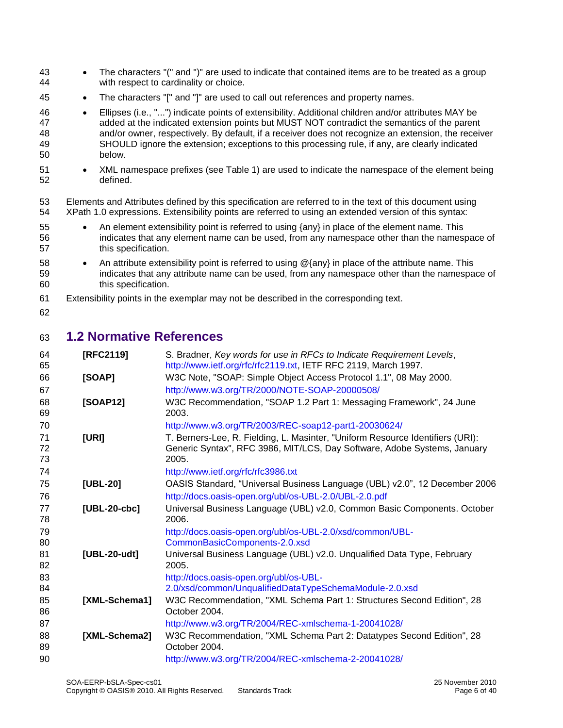- The characters "(" and ")" are used to indicate that contained items are to be treated as a group with respect to cardinality or choice. The characters "[" and "]" are used to call out references and property names. Ellipses (i.e., "...") indicate points of extensibility. Additional children and/or attributes MAY be added at the indicated extension points but MUST NOT contradict the semantics of the parent and/or owner, respectively. By default, if a receiver does not recognize an extension, the receiver SHOULD ignore the extension; exceptions to this processing rule, if any, are clearly indicated below. XML namespace prefixes (see Table 1) are used to indicate the namespace of the element being defined. Elements and Attributes defined by this specification are referred to in the text of this document using XPath 1.0 expressions. Extensibility points are referred to using an extended version of this syntax: 55 • An element extensibility point is referred to using {any} in place of the element name. This indicates that any element name can be used, from any namespace other than the namespace of this specification. 58 • An attribute extensibility point is referred to using @{any} in place of the attribute name. This indicates that any attribute name can be used, from any namespace other than the namespace of this specification. Extensibility points in the exemplar may not be described in the corresponding text. **1.2 Normative References [RFC2119]** S. Bradner, *Key words for use in RFCs to Indicate Requirement Levels*, [http://www.ietf.org/rfc/rfc2119.txt,](http://www.ietf.org/rfc/rfc2119.txt) IETF RFC 2119, March 1997. **[SOAP]** W3C Note, "SOAP: Simple Object Access Protocol 1.1", 08 May 2000. <http://www.w3.org/TR/2000/NOTE-SOAP-20000508/> **[SOAP12]** W3C Recommendation, "SOAP 1.2 Part 1: Messaging Framework", 24 June 2003. <http://www.w3.org/TR/2003/REC-soap12-part1-20030624/> **[URI]** T. Berners-Lee, R. Fielding, L. Masinter, "Uniform Resource Identifiers (URI):
- <span id="page-5-3"></span><span id="page-5-2"></span><span id="page-5-1"></span><span id="page-5-0"></span> Generic Syntax", RFC 3986, MIT/LCS, Day Software, Adobe Systems, January 2005. <http://www.ietf.org/rfc/rfc3986.txt> **[UBL-20]** OASIS Standard, "Universal Business Language (UBL) v2.0", 12 December 2006 <http://docs.oasis-open.org/ubl/os-UBL-2.0/UBL-2.0.pdf> **[UBL-20-cbc]** Universal Business Language (UBL) v2.0, Common Basic Components. October 2006. [http://docs.oasis-open.org/ubl/os-UBL-2.0/xsd/common/UBL-](http://docs.oasis-open.org/ubl/os-UBL-2.0/xsd/common/UBL-CommonBasicComponents-2.0.xsd) [CommonBasicComponents-2.0.xsd](http://docs.oasis-open.org/ubl/os-UBL-2.0/xsd/common/UBL-CommonBasicComponents-2.0.xsd) **[UBL-20-udt]** Universal Business Language (UBL) v2.0. Unqualified Data Type, February 2005. [http://docs.oasis-open.org/ubl/os-UBL-](http://docs.oasis-open.org/ubl/os-UBL-2.0/xsd/common/UnqualifiedDataTypeSchemaModule-2.0.xsd) [2.0/xsd/common/UnqualifiedDataTypeSchemaModule-2.0.xsd](http://docs.oasis-open.org/ubl/os-UBL-2.0/xsd/common/UnqualifiedDataTypeSchemaModule-2.0.xsd) **[XML-Schema1]** W3C Recommendation, "XML Schema Part 1: Structures Second Edition", 28 October 2004.
- <span id="page-5-4"></span> <http://www.w3.org/TR/2004/REC-xmlschema-1-20041028/> **[XML-Schema2]** W3C Recommendation, "XML Schema Part 2: Datatypes Second Edition", 28 October 2004. <http://www.w3.org/TR/2004/REC-xmlschema-2-20041028/>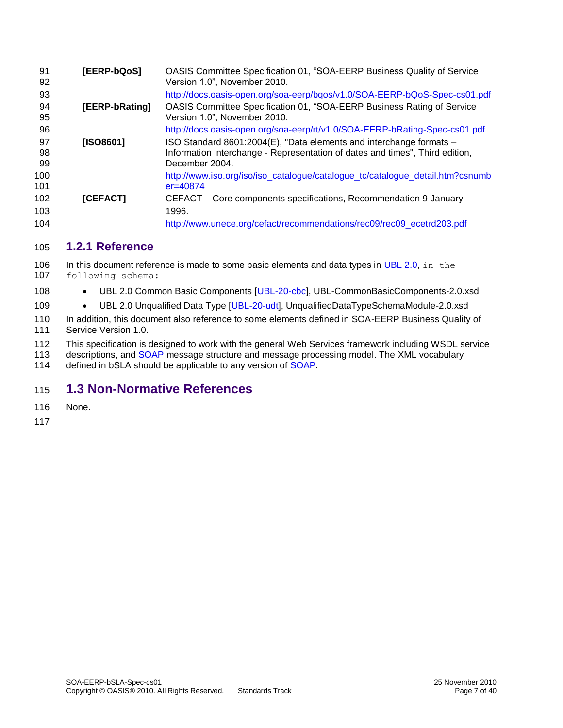<span id="page-6-3"></span>

| 91<br>92       | [EERP-bQoS]    | OASIS Committee Specification 01, "SOA-EERP Business Quality of Service<br>Version 1.0", November 2010.                                                               |
|----------------|----------------|-----------------------------------------------------------------------------------------------------------------------------------------------------------------------|
| 93             |                | http://docs.oasis-open.org/soa-eerp/bqos/v1.0/SOA-EERP-bQoS-Spec-cs01.pdf                                                                                             |
| 94<br>95       | [EERP-bRating] | OASIS Committee Specification 01, "SOA-EERP Business Rating of Service<br>Version 1.0", November 2010.                                                                |
| 96             |                | http://docs.oasis-open.org/soa-eerp/rt/v1.0/SOA-EERP-bRating-Spec-cs01.pdf                                                                                            |
| 97<br>98<br>99 | [ISO8601]      | ISO Standard 8601:2004(E), "Data elements and interchange formats -<br>Information interchange - Representation of dates and times", Third edition,<br>December 2004. |
| 100<br>101     |                | http://www.iso.org/iso/iso_catalogue/catalogue_tc/catalogue_detail.htm?csnumb<br>$er = 40874$                                                                         |
| 102            | [CEFACT]       | CEFACT - Core components specifications, Recommendation 9 January                                                                                                     |
| 103            |                | 1996.                                                                                                                                                                 |
| 104            |                | http://www.unece.org/cefact/recommendations/rec09/rec09 ecetrd203.pdf                                                                                                 |

### <span id="page-6-0"></span>**1.2.1 Reference**

106 In this document reference is made to some basic elements and data types in [UBL 2.0,](#page-5-2) in the following schema:

- **UBL 2.0 Common Basic Components [\[UBL-20-cbc\]](#page-5-3), UBL-CommonBasicComponents-2.0.xsd**
- **UBL 2.0 Unqualified Data Type [\[UBL-20-udt\]](#page-5-4), UnqualifiedDataTypeSchemaModule-2.0.xsd**

110 In addition, this document also reference to some elements defined in SOA-EERP Business Quality of 111 Service Version 1.0. Service Version 1.0.

This specification is designed to work with the general Web Services framework including WSDL service

<span id="page-6-2"></span>113 descriptions, and SOAP message structure and message processing model. The XML vocabulary 114 defined in bSLA should be applicable to any version of SOAP.

### <span id="page-6-1"></span>**1.3 Non-Normative References**

- None.
-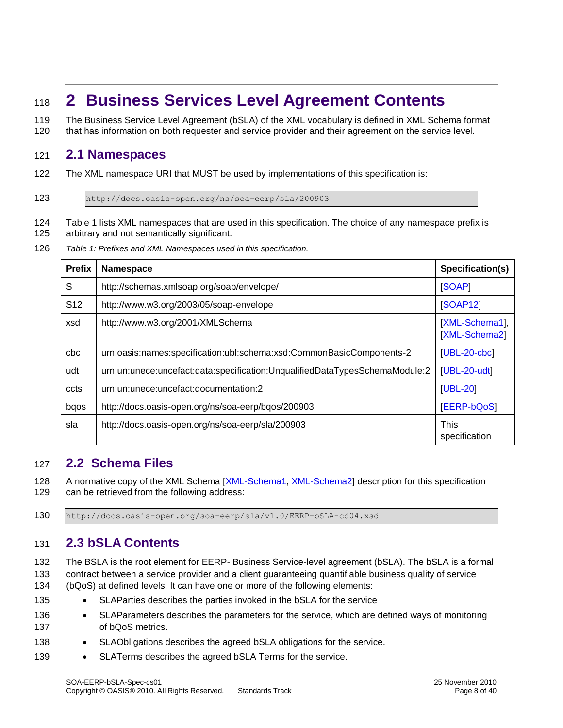# <span id="page-7-0"></span><sup>118</sup> **2 Business Services Level Agreement Contents**

119 The Business Service Level Agreement (bSLA) of the XML vocabulary is defined in XML Schema format 120 that has information on both requester and service provider and their agreement on the service level.

### <span id="page-7-1"></span>121 **2.1 Namespaces**

122 The XML namespace URI that MUST be used by implementations of this specification is:

123 http://docs.oasis-open.org/ns/soa-eerp/sla/200903

- 124 Table 1 lists XML namespaces that are used in this specification. The choice of any namespace prefix is 125 arbitrary and not semantically significant.
- 126 *Table 1: Prefixes and XML Namespaces used in this specification.*

| <b>Prefix</b>   | Namespace                                                                   | Specification(s)                |
|-----------------|-----------------------------------------------------------------------------|---------------------------------|
| S               | http://schemas.xmlsoap.org/soap/envelope/                                   | <b>ISOAPI</b>                   |
| S <sub>12</sub> | http://www.w3.org/2003/05/soap-envelope                                     | <b>[SOAP12]</b>                 |
| xsd             | http://www.w3.org/2001/XMLSchema                                            | [XML-Schema1],<br>[XML-Schema2] |
| cbc             | urn:oasis:names:specification:ubl:schema:xsd:CommonBasicComponents-2        | $[UBL-20-cbc]$                  |
| udt             | urn:un:unece:uncefact:data:specification:UnqualifiedDataTypesSchemaModule:2 | $ UBL-20-udt $                  |
| ccts            | urn:un:unece:uncefact:documentation:2                                       | [UBL-20]                        |
| bqos            | http://docs.oasis-open.org/ns/soa-eerp/bqos/200903                          | <b>IEERP-bQoSI</b>              |
| sla             | http://docs.oasis-open.org/ns/soa-eerp/sla/200903                           | <b>This</b><br>specification    |

### <span id="page-7-2"></span>127 **2.2 Schema Files**

128 A normative copy of the XML Schema [\[XML-Schema1, XML-Schema2\]](#page-6-2) description for this specification

129 can be retrieved from the following address:

130 http://docs.oasis-open.org/soa-eerp/sla/v1.0/EERP-bSLA-cd04.xsd

### <span id="page-7-3"></span>131 **2.3 bSLA Contents**

132 The BSLA is the root element for EERP- Business Service-level agreement (bSLA). The bSLA is a formal 133 contract between a service provider and a client guaranteeing quantifiable business quality of service 134 (bQoS) at defined levels. It can have one or more of the following elements:

- 135 SLAParties describes the parties invoked in the bSLA for the service
- 136 SLAParameters describes the parameters for the service, which are defined ways of monitoring 137 of bQoS metrics.
- 138 SLAObligations describes the agreed bSLA obligations for the service.
- 139 SLATerms describes the agreed bSLA Terms for the service.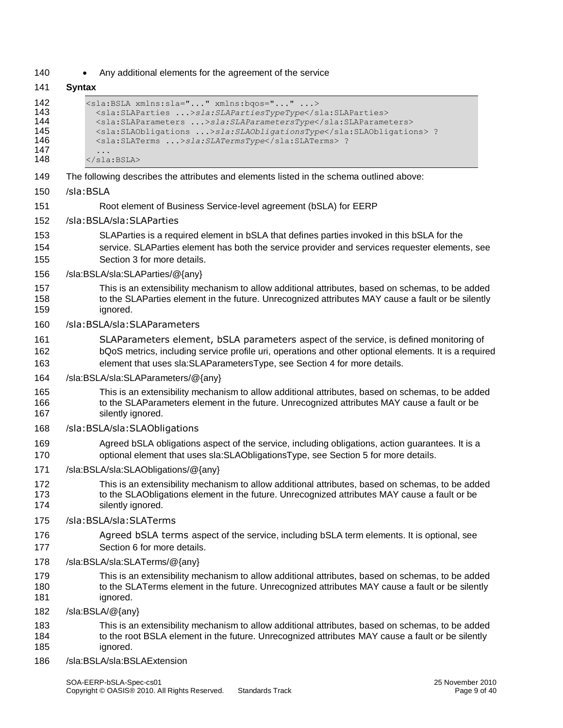140 • Any additional elements for the agreement of the service

| 141                                           | <b>Syntax</b>                                                                                                                                                                                                                                                                                                                                 |
|-----------------------------------------------|-----------------------------------------------------------------------------------------------------------------------------------------------------------------------------------------------------------------------------------------------------------------------------------------------------------------------------------------------|
| 142<br>143<br>144<br>145<br>146<br>147<br>148 | <sla:bsla xmlns:bqos="" xmlns:sla=""><br/><sla:slaparties>sla:SLAPartiesTypeType</sla:slaparties><br/><sla:slaparameters>sla:SLAParametersType</sla:slaparameters><br/><sla:slaobligations>sla:SLAObligationsType</sla:slaobligations> ?<br/><sla:slaterms>sla:SLATermsType</sla:slaterms> ?<br/><math>\langle</math>/sla:BSLA&gt;</sla:bsla> |
| 149                                           | The following describes the attributes and elements listed in the schema outlined above:                                                                                                                                                                                                                                                      |
| 150                                           | /sla:BSLA                                                                                                                                                                                                                                                                                                                                     |
| 151                                           | Root element of Business Service-level agreement (bSLA) for EERP                                                                                                                                                                                                                                                                              |
| 152                                           | /sla:BSLA/sla:SLAParties                                                                                                                                                                                                                                                                                                                      |
| 153<br>154<br>155                             | SLAParties is a required element in bSLA that defines parties invoked in this bSLA for the<br>service. SLAParties element has both the service provider and services requester elements, see<br>Section 3 for more details.                                                                                                                   |
| 156                                           | /sla:BSLA/sla:SLAParties/@{any}                                                                                                                                                                                                                                                                                                               |
| 157<br>158<br>159                             | This is an extensibility mechanism to allow additional attributes, based on schemas, to be added<br>to the SLAParties element in the future. Unrecognized attributes MAY cause a fault or be silently<br>ignored.                                                                                                                             |
| 160                                           | /sla:BSLA/sla:SLAParameters                                                                                                                                                                                                                                                                                                                   |
| 161<br>162<br>163                             | SLAParameters element, bSLA parameters aspect of the service, is defined monitoring of<br>bQoS metrics, including service profile uri, operations and other optional elements. It is a required<br>element that uses sla: SLAParameters Type, see Section 4 for more details.                                                                 |
| 164                                           | /sla:BSLA/sla:SLAParameters/@{any}                                                                                                                                                                                                                                                                                                            |
| 165<br>166<br>167                             | This is an extensibility mechanism to allow additional attributes, based on schemas, to be added<br>to the SLAParameters element in the future. Unrecognized attributes MAY cause a fault or be<br>silently ignored.                                                                                                                          |
| 168                                           | /sla:BSLA/sla:SLAObligations                                                                                                                                                                                                                                                                                                                  |
| 169<br>170                                    | Agreed bSLA obligations aspect of the service, including obligations, action guarantees. It is a<br>optional element that uses sla: SLAObligationsType, see Section 5 for more details.                                                                                                                                                       |
| 171                                           | /sla:BSLA/sla:SLAObligations/@{any}                                                                                                                                                                                                                                                                                                           |
| 172<br>173<br>174                             | This is an extensibility mechanism to allow additional attributes, based on schemas, to be added<br>to the SLAObligations element in the future. Unrecognized attributes MAY cause a fault or be<br>silently ignored.                                                                                                                         |
| 175                                           | /sla:BSLA/sla:SLATerms                                                                                                                                                                                                                                                                                                                        |
| 176<br>177                                    | Agreed bSLA terms aspect of the service, including bSLA term elements. It is optional, see<br>Section 6 for more details.                                                                                                                                                                                                                     |
| 178                                           | /sla:BSLA/sla:SLATerms/@{any}                                                                                                                                                                                                                                                                                                                 |
| 179<br>180<br>181                             | This is an extensibility mechanism to allow additional attributes, based on schemas, to be added<br>to the SLATerms element in the future. Unrecognized attributes MAY cause a fault or be silently<br>ignored.                                                                                                                               |
| 182                                           | /sla:BSLA/@{any}                                                                                                                                                                                                                                                                                                                              |
| 183<br>184<br>185                             | This is an extensibility mechanism to allow additional attributes, based on schemas, to be added<br>to the root BSLA element in the future. Unrecognized attributes MAY cause a fault or be silently<br>ignored.                                                                                                                              |
| 186                                           | /sla:BSLA/sla:BSLAExtension                                                                                                                                                                                                                                                                                                                   |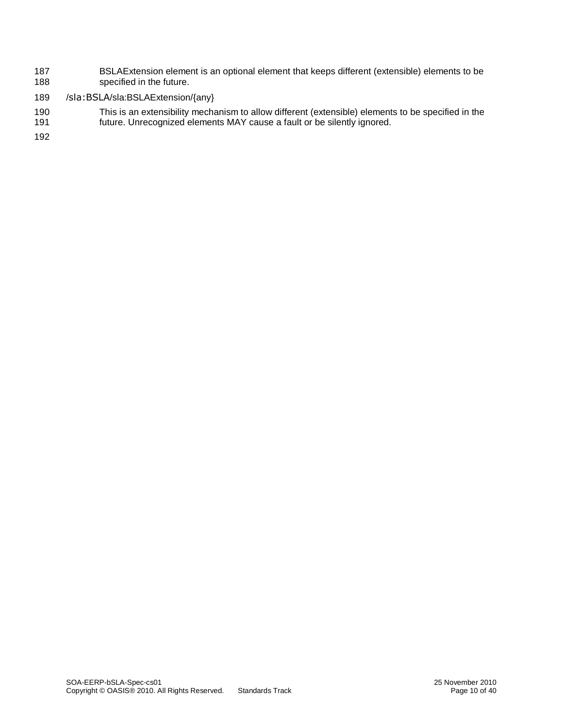- 187 BSLAExtension element is an optional element that keeps different (extensible) elements to be 188 specified in the future.
- 189 /sla:BSLA/sla:BSLAExtension/{any}
- 190 This is an extensibility mechanism to allow different (extensible) elements to be specified in the 191 future. Unrecognized elements MAY cause a fault or be silently ignored.

192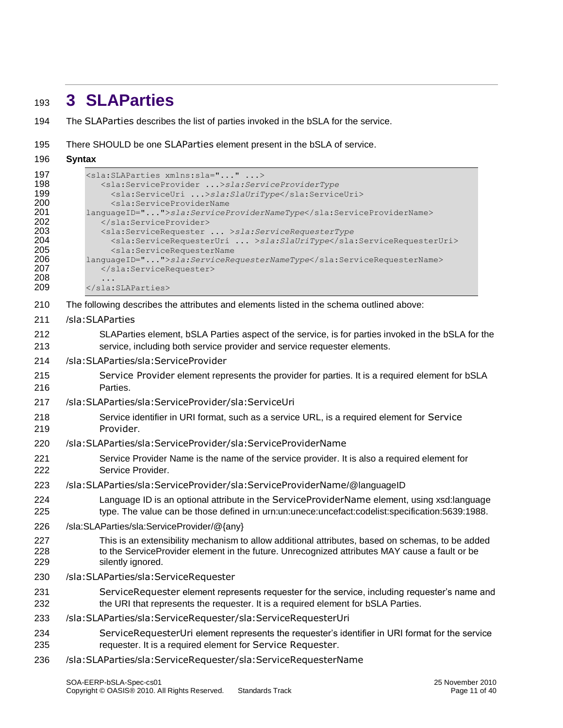# <span id="page-10-0"></span>**3 SLAParties**

- The SLAParties describes the list of parties invoked in the bSLA for the service.
- There SHOULD be one SLAParties element present in the bSLA of service.
- **Syntax**

| 197 | <sla:slaparties xmlns:sla=""></sla:slaparties>                        |
|-----|-----------------------------------------------------------------------|
| 198 | <sla:serviceprovider>sla:ServiceProviderType</sla:serviceprovider>    |
| 199 | <sla:serviceuri>sla:SlaUriType</sla:serviceuri>                       |
| 200 | <sla:serviceprovidername< th=""></sla:serviceprovidername<>           |
| 201 | languageID="">sla:ServiceProviderNameType                             |
| 202 |                                                                       |
| 203 | <sla:servicerequester>sla:ServiceRequesterType</sla:servicerequester> |
| 204 | <sla:servicerequesteruri>sla:SlaUriType</sla:servicerequesteruri>     |
| 205 | <sla:servicerequestername< th=""></sla:servicerequestername<>         |
| 206 | languageID="">sla:ServiceRequesterNameType                            |
| 207 |                                                                       |
| 208 | $\ddotsc$                                                             |
| 209 |                                                                       |

- The following describes the attributes and elements listed in the schema outlined above:
- /sla:SLAParties
- SLAParties element, bSLA Parties aspect of the service, is for parties invoked in the bSLA for the service, including both service provider and service requester elements.
- /sla:SLAParties/sla:ServiceProvider
- Service Provider element represents the provider for parties. It is a required element for bSLA Parties.
- /sla:SLAParties/sla:ServiceProvider/sla:ServiceUri
- Service identifier in URI format, such as a service URL, is a required element for Service Provider.
- 220 /sla:SLAParties/sla:ServiceProvider/sla:ServiceProviderName
- Service Provider Name is the name of the service provider. It is also a required element for Service Provider.
- /sla:SLAParties/sla:ServiceProvider/sla:ServiceProviderName/@languageID
- Language ID is an optional attribute in the ServiceProviderName element, using xsd:language type. The value can be those defined in urn:un:unece:uncefact:codelist:specification:5639:1988.
- /sla:SLAParties/sla:ServiceProvider/@{any}
- This is an extensibility mechanism to allow additional attributes, based on schemas, to be added 228 to the ServiceProvider element in the future. Unrecognized attributes MAY cause a fault or be silently ignored.
- /sla:SLAParties/sla:ServiceRequester
- ServiceRequester element represents requester for the service, including requester's name and 232 the URI that represents the requester. It is a required element for bSLA Parties.
- 233 /sla:SLAParties/sla:ServiceRequester/sla:ServiceRequesterUri
- ServiceRequesterUri element represents the requester's identifier in URI format for the service requester. It is a required element for Service Requester.
- 236 /sla:SLAParties/sla:ServiceRequester/sla:ServiceRequesterName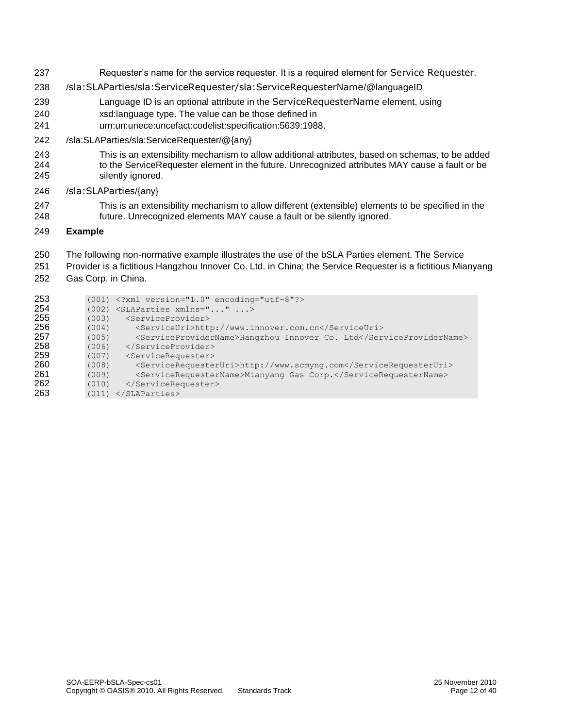- Requester's name for the service requester. It is a required element for Service Requester.
- /sla:SLAParties/sla:ServiceRequester/sla:ServiceRequesterName/@languageID
- Language ID is an optional attribute in the ServiceRequesterName element, using
- xsd:language type. The value can be those defined in
- urn:un:unece:uncefact:codelist:specification:5639:1988.
- /sla:SLAParties/sla:ServiceRequester/@{any}
- This is an extensibility mechanism to allow additional attributes, based on schemas, to be added to the ServiceRequester element in the future. Unrecognized attributes MAY cause a fault or be
- silently ignored.
- /sla:SLAParties/{any}
- This is an extensibility mechanism to allow different (extensible) elements to be specified in the future. Unrecognized elements MAY cause a fault or be silently ignored.
- **Example**
- The following non-normative example illustrates the use of the bSLA Parties element. The Service
- Provider is a fictitious Hangzhou Innover Co. Ltd. in China; the Service Requester is a fictitious Mianyang Gas Corp. in China.

| 253 |       | $(001)$ xml version="1.0" encoding="utf-8"?                         |
|-----|-------|---------------------------------------------------------------------|
| 254 |       | $(002)$ <slaparties xmlns=""></slaparties>                          |
| 255 | (003) | <serviceprovider></serviceprovider>                                 |
| 256 | (004) | <serviceuri>http://www.innover.com.cn</serviceuri>                  |
| 257 | (005) | <serviceprovidername>Hangzhou Innover Co. Ltd</serviceprovidername> |
| 258 | (006) |                                                                     |
| 259 | (007) | <servicerequester></servicerequester>                               |
| 260 | (008) | <servicerequesteruri>http://www.scmyng.com</servicerequesteruri>    |
| 261 | (009) | <servicerequestername>Mianyang Gas Corp.</servicerequestername>     |
| 262 | (010) |                                                                     |
| 263 |       | $(011)$                                                             |
|     |       |                                                                     |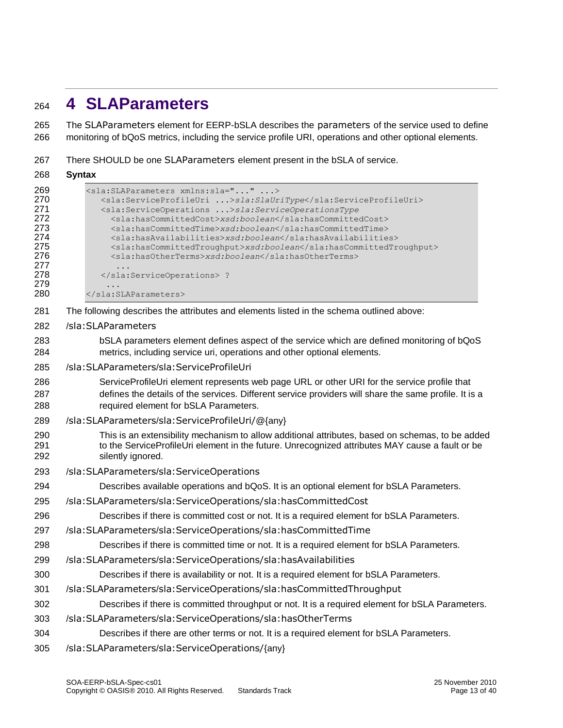## <span id="page-12-0"></span>**4 SLAParameters**

 The SLAParameters element for EERP-bSLA describes the parameters of the service used to define monitoring of bQoS metrics, including the service profile URI, operations and other optional elements.

There SHOULD be one SLAParameters element present in the bSLA of service.

#### **Syntax**

279<br>280

```
269 <sla:SLAParameters xmlns:sla="..." ...><br>270 <sla:ServiceProfileUri ...>sla:SlaUr
                270 <sla:ServiceProfileUri ...>sla:SlaUriType</sla:ServiceProfileUri>
271 <sla:ServiceOperations ...>sla:ServiceOperationsType
272 <sla:hasCommittedCost>xsd:boolean</sla:hasCommittedCost><br>273 <sla:hasCommittedTime>xsd:boolean</sla:hasCommittedTime>
                  273 <sla:hasCommittedTime>xsd:boolean</sla:hasCommittedTime>
274 <sla:hasAvailabilities>xsd:boolean</sla:hasAvailabilities><br>275 <sla:hasCommittedTroughput>xsd:boolean</sla:hasCommittedTr
                  275 <sla:hasCommittedTroughput>xsd:boolean</sla:hasCommittedTroughput>
276 <sla:hasOtherTerms>xsd:boolean</sla:hasOtherTerms>
278 </sla:ServiceOperations> ?
            </sla:SLAParameters>
```
- The following describes the attributes and elements listed in the schema outlined above:
- /sla:SLAParameters
- bSLA parameters element defines aspect of the service which are defined monitoring of bQoS metrics, including service uri, operations and other optional elements.
- /sla:SLAParameters/sla:ServiceProfileUri
- ServiceProfileUri element represents web page URL or other URI for the service profile that defines the details of the services. Different service providers will share the same profile. It is a required element for bSLA Parameters.
- /sla:SLAParameters/sla:ServiceProfileUri/@{any}
- This is an extensibility mechanism to allow additional attributes, based on schemas, to be added 291 to the ServiceProfileUri element in the future. Unrecognized attributes MAY cause a fault or be silently ignored.
- /sla:SLAParameters/sla:ServiceOperations
- Describes available operations and bQoS. It is an optional element for bSLA Parameters.
- /sla:SLAParameters/sla:ServiceOperations/sla:hasCommittedCost
- Describes if there is committed cost or not. It is a required element for bSLA Parameters.
- /sla:SLAParameters/sla:ServiceOperations/sla:hasCommittedTime
- Describes if there is committed time or not. It is a required element for bSLA Parameters.
- /sla:SLAParameters/sla:ServiceOperations/sla:hasAvailabilities
- Describes if there is availability or not. It is a required element for bSLA Parameters.
- /sla:SLAParameters/sla:ServiceOperations/sla:hasCommittedThroughput
- Describes if there is committed throughput or not. It is a required element for bSLA Parameters.
- /sla:SLAParameters/sla:ServiceOperations/sla:hasOtherTerms
- Describes if there are other terms or not. It is a required element for bSLA Parameters.
- /sla:SLAParameters/sla:ServiceOperations/{any}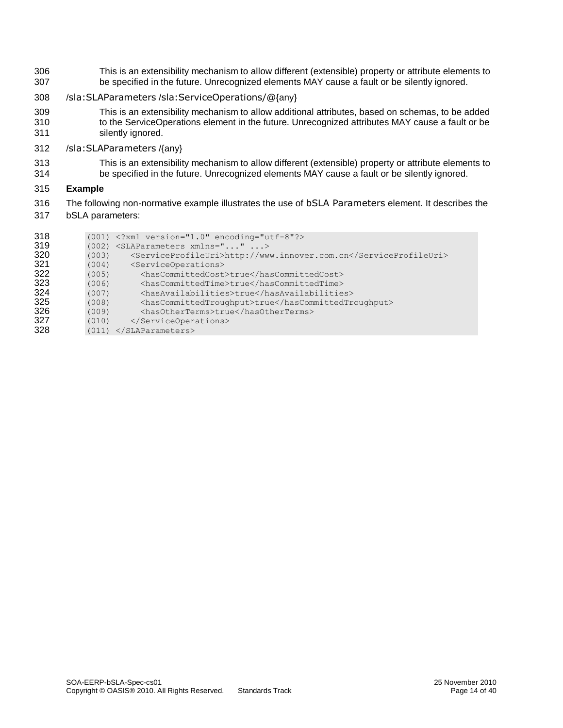- This is an extensibility mechanism to allow different (extensible) property or attribute elements to be specified in the future. Unrecognized elements MAY cause a fault or be silently ignored.
- /sla:SLAParameters /sla:ServiceOperations/@{any}
- This is an extensibility mechanism to allow additional attributes, based on schemas, to be added to the ServiceOperations element in the future. Unrecognized attributes MAY cause a fault or be 311 silently ignored.
- /sla:SLAParameters /{any}
- 313 This is an extensibility mechanism to allow different (extensible) property or attribute elements to 314 be specified in the future. Unrecognized elements MAY cause a fault or be silently ignored. be specified in the future. Unrecognized elements MAY cause a fault or be silently ignored.
- **Example**
- The following non-normative example illustrates the use of bSLA Parameters element. It describes the bSLA parameters:

| 318 |       | $(001)$ xml version="1.0" encoding="utf-8"?                      |
|-----|-------|------------------------------------------------------------------|
| 319 |       | $(002)$ <slaparameters xmlns=""></slaparameters>                 |
| 320 | (003) | <serviceprofileuri>http://www.innover.com.cn</serviceprofileuri> |
| 321 | (004) | <serviceoperations></serviceoperations>                          |
| 322 | (005) | <hascommittedcost>true</hascommittedcost>                        |
| 323 | (006) | <hascommittedtime>true</hascommittedtime>                        |
| 324 | (007) | <hasavailabilities>true</hasavailabilities>                      |
| 325 | (008) | <hascommittedtroughput>true</hascommittedtroughput>              |
| 326 | (009) | <hasotherterms>true</hasotherterms>                              |
| 327 | (010) |                                                                  |
| 328 | (011) |                                                                  |
|     |       |                                                                  |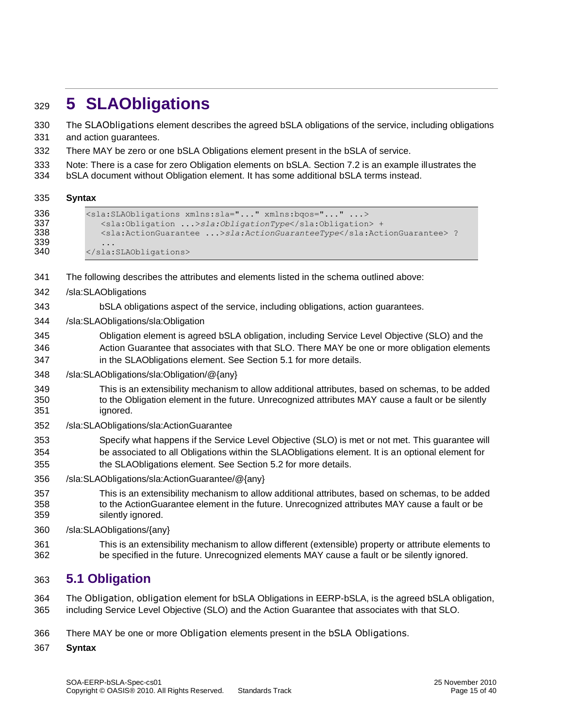# <span id="page-14-0"></span>**5 SLAObligations**

The SLAObligations element describes the agreed bSLA obligations of the service, including obligations

and action guarantees.

There MAY be zero or one bSLA Obligations element present in the bSLA of service.

 Note: There is a case for zero Obligation elements on bSLA. Section 7.2 is an example illustrates the bSLA document without Obligation element. It has some additional bSLA terms instead.

#### **Syntax**

```
336 <sla:SLAObligations xmlns:sla="..." xmlns:bqos="..." ...><br>337 <sla:Obligation ...>sla:ObligationType</sla:Obligation
                337 <sla:Obligation ...>sla:ObligationType</sla:Obligation> +
338 <sla:ActionGuarantee ...>sla:ActionGuaranteeType</sla:ActionGuarantee> ?
339 ...<br>340 \le/sla:
             340 </sla:SLAObligations>
```
- The following describes the attributes and elements listed in the schema outlined above:
- /sla:SLAObligations
- bSLA obligations aspect of the service, including obligations, action guarantees.
- /sla:SLAObligations/sla:Obligation
- Obligation element is agreed bSLA obligation, including Service Level Objective (SLO) and the Action Guarantee that associates with that SLO. There MAY be one or more obligation elements in the SLAObligations element. See Section 5.1 for more details.
- /sla:SLAObligations/sla:Obligation/@{any}
- This is an extensibility mechanism to allow additional attributes, based on schemas, to be added to the Obligation element in the future. Unrecognized attributes MAY cause a fault or be silently ignored.
- /sla:SLAObligations/sla:ActionGuarantee
- Specify what happens if the Service Level Objective (SLO) is met or not met. This guarantee will be associated to all Obligations within the SLAObligations element. It is an optional element for the SLAObligations element. See Section 5.2 for more details.
- /sla:SLAObligations/sla:ActionGuarantee/@{any}
- This is an extensibility mechanism to allow additional attributes, based on schemas, to be added to the ActionGuarantee element in the future. Unrecognized attributes MAY cause a fault or be silently ignored.
- /sla:SLAObligations/{any}
- This is an extensibility mechanism to allow different (extensible) property or attribute elements to be specified in the future. Unrecognized elements MAY cause a fault or be silently ignored.

### <span id="page-14-1"></span>**5.1 Obligation**

 The Obligation, obligation element for bSLA Obligations in EERP-bSLA, is the agreed bSLA obligation, including Service Level Objective (SLO) and the Action Guarantee that associates with that SLO.

There MAY be one or more Obligation elements present in the bSLA Obligations.

#### **Syntax**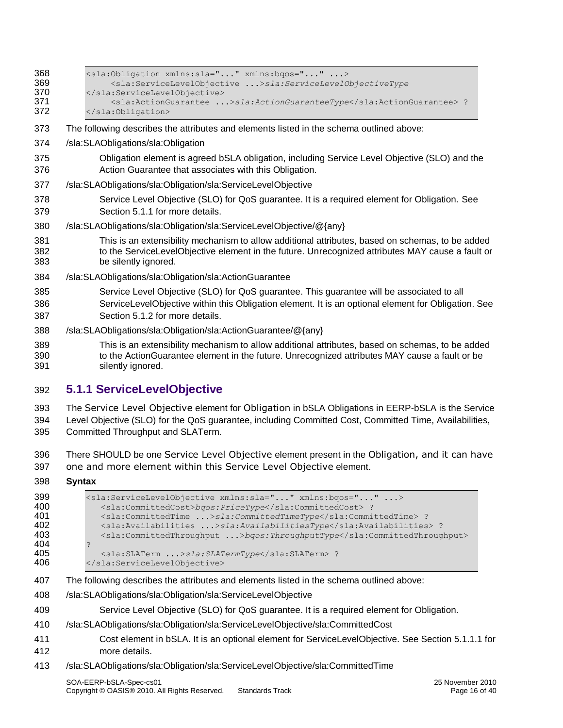| 368 | <sla: bqos="" obligation="" sla="" xmlns:=""></sla:>                                                |
|-----|-----------------------------------------------------------------------------------------------------|
| 369 | <sla:servicelevelobjective>sla:ServiceLevelObjectiveType</sla:servicelevelobjective>                |
| 370 |                                                                                                     |
| 371 | <sla:actionguarantee>sla:ActionGuaranteeType</sla:actionguarantee> ?                                |
| 372 |                                                                                                     |
| 373 | The following describes the attributes and elements listed in the schema outlined above:            |
| 374 | /sla:SLAObligations/sla:Obligation                                                                  |
| 375 | Obligation element is agreed bSLA obligation, including Service Level Objective (SLO) and the       |
| 376 | Action Guarantee that associates with this Obligation.                                              |
| 377 | /sla:SLAObligations/sla:Obligation/sla:ServiceLevelObjective                                        |
| 378 | Service Level Objective (SLO) for QoS guarantee. It is a required element for Obligation. See       |
| 379 | Section 5.1.1 for more details.                                                                     |
| 380 | /sla:SLAObligations/sla:Obligation/sla:ServiceLevelObjective/@{any}                                 |
| 381 | This is an extensibility mechanism to allow additional attributes, based on schemas, to be added    |
| 382 | to the ServiceLevelObjective element in the future. Unrecognized attributes MAY cause a fault or    |
| 383 | be silently ignored.                                                                                |
| 384 | /sla:SLAObligations/sla:Obligation/sla:ActionGuarantee                                              |
| 385 | Service Level Objective (SLO) for QoS guarantee. This guarantee will be associated to all           |
| 386 | ServiceLevelObjective within this Obligation element. It is an optional element for Obligation. See |
| 387 | Section 5.1.2 for more details.                                                                     |
| 388 | /sla:SLAObligations/sla:Obligation/sla:ActionGuarantee/@{any}                                       |
| 389 | This is an extensibility mechanism to allow additional attributes, based on schemas, to be added    |
| 390 | to the ActionGuarantee element in the future. Unrecognized attributes MAY cause a fault or be       |
| 391 | silently ignored.                                                                                   |

### <span id="page-15-0"></span>**5.1.1 ServiceLevelObjective**

 The Service Level Objective element for Obligation in bSLA Obligations in EERP-bSLA is the Service Level Objective (SLO) for the QoS guarantee, including Committed Cost, Committed Time, Availabilities, Committed Throughput and SLATerm.

- There SHOULD be one Service Level Objective element present in the Obligation, and it can have
- one and more element within this Service Level Objective element.
- **Syntax**

399 <sla:ServiceLevelObjective xmlns:sla="..." xmlns:bqos="..." ...><br>400 <sla:CommittedCost>baos:PriceType</sla:CommittedCost>? <sla:CommittedCost>*bqos:PriceType*</sla:CommittedCost> ? <sla:CommittedTime ...>*sla:CommittedTimeType*</sla:CommittedTime> ? 402 <sla:Availabilities ...>sla:AvailabilitiesType</sla:Availabilities> ?<br>403 <sla:CommittedThroughput ...>bgos:ThroughputType</sla:CommittedThroug <sla:CommittedThroughput ...>*bqos:ThroughputType*</sla:CommittedThroughput> 404 ?<br>405 <sla:SLATerm ...>*sla:SLATermType*</sla:SLATerm> ? </sla:ServiceLevelObjective>

- The following describes the attributes and elements listed in the schema outlined above:
- /sla:SLAObligations/sla:Obligation/sla:ServiceLevelObjective
- Service Level Objective (SLO) for QoS guarantee. It is a required element for Obligation.
- /sla:SLAObligations/sla:Obligation/sla:ServiceLevelObjective/sla:CommittedCost
- Cost element in bSLA. It is an optional element for ServiceLevelObjective. See Section 5.1.1.1 for more details.
- /sla:SLAObligations/sla:Obligation/sla:ServiceLevelObjective/sla:CommittedTime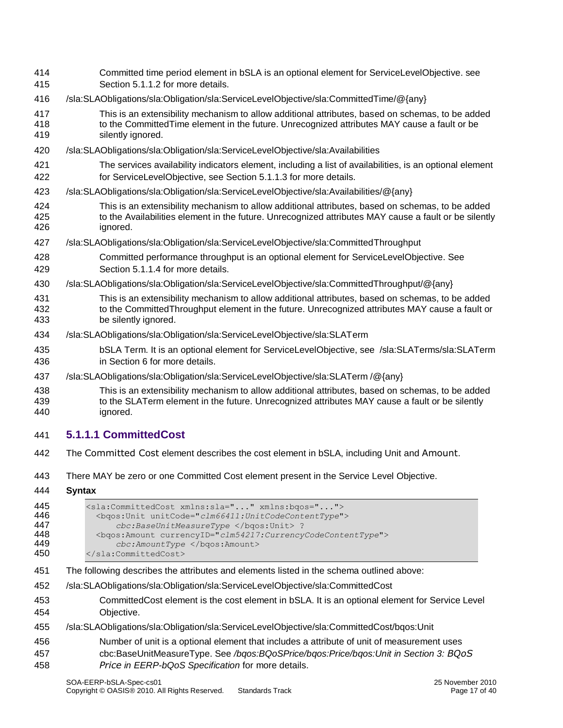| 414<br>415        | Committed time period element in bSLA is an optional element for ServiceLevelObjective. see<br>Section 5.1.1.2 for more details.                                                                                            |
|-------------------|-----------------------------------------------------------------------------------------------------------------------------------------------------------------------------------------------------------------------------|
| 416               | /sla:SLAObligations/sla:Obligation/sla:ServiceLevelObjective/sla:CommittedTime/@{any}                                                                                                                                       |
| 417<br>418<br>419 | This is an extensibility mechanism to allow additional attributes, based on schemas, to be added<br>to the CommittedTime element in the future. Unrecognized attributes MAY cause a fault or be<br>silently ignored.        |
| 420               | /sla:SLAObligations/sla:Obligation/sla:ServiceLevelObjective/sla:Availabilities                                                                                                                                             |
| 421<br>422        | The services availability indicators element, including a list of availabilities, is an optional element<br>for ServiceLevelObjective, see Section 5.1.1.3 for more details.                                                |
| 423               | /sla:SLAObligations/sla:Obligation/sla:ServiceLevelObjective/sla:Availabilities/@{any}                                                                                                                                      |
| 424<br>425<br>426 | This is an extensibility mechanism to allow additional attributes, based on schemas, to be added<br>to the Availabilities element in the future. Unrecognized attributes MAY cause a fault or be silently<br>ignored.       |
| 427               | /sla:SLAObligations/sla:Obligation/sla:ServiceLevelObjective/sla:CommittedThroughput                                                                                                                                        |
| 428<br>429        | Committed performance throughput is an optional element for ServiceLevelObjective. See<br>Section 5.1.1.4 for more details.                                                                                                 |
| 430               | /sla:SLAObligations/sla:Obligation/sla:ServiceLevelObjective/sla:CommittedThroughput/@{any}                                                                                                                                 |
| 431<br>432<br>433 | This is an extensibility mechanism to allow additional attributes, based on schemas, to be added<br>to the Committed Throughput element in the future. Unrecognized attributes MAY cause a fault or<br>be silently ignored. |
| 434               | /sla:SLAObligations/sla:Obligation/sla:ServiceLevelObjective/sla:SLATerm                                                                                                                                                    |
| 435<br>436        | bSLA Term. It is an optional element for ServiceLevelObjective, see /sla:SLATerms/sla:SLATerm<br>in Section 6 for more details.                                                                                             |
| 437               | /sla:SLAObligations/sla:Obligation/sla:ServiceLevelObjective/sla:SLATerm /@{any}                                                                                                                                            |
| 438<br>439<br>440 | This is an extensibility mechanism to allow additional attributes, based on schemas, to be added<br>to the SLATerm element in the future. Unrecognized attributes MAY cause a fault or be silently<br>ignored.              |
| 441               | 5.1.1.1 CommittedCost                                                                                                                                                                                                       |
| 442               | The Committed Cost element describes the cost element in bSLA, including Unit and Amount.                                                                                                                                   |
|                   |                                                                                                                                                                                                                             |

- There MAY be zero or one Committed Cost element present in the Service Level Objective.
- **Syntax**

| 445 | <sla:committedcost xmlns:bqos="" xmlns:sla=""></sla:committedcost>        |
|-----|---------------------------------------------------------------------------|
| 446 | <bgos: unit="" unitcode="clm66411: UnitCodeContentType"></bgos:>          |
| 447 | cbc: BaseUnitMeasureType  ?                                               |
| 448 | <bgos:amount currencyid="clm54217:CurrencyCodeContentType"></bgos:amount> |
| 449 | $cbc: AmountType < /bo$ . Amount>                                         |
| 450 |                                                                           |
|     |                                                                           |

- The following describes the attributes and elements listed in the schema outlined above:
- /sla:SLAObligations/sla:Obligation/sla:ServiceLevelObjective/sla:CommittedCost
- CommittedCost element is the cost element in bSLA. It is an optional element for Service Level Objective.
- /sla:SLAObligations/sla:Obligation/sla:ServiceLevelObjective/sla:CommittedCost/bqos:Unit
- Number of unit is a optional element that includes a attribute of unit of measurement uses
- cbc:BaseUnitMeasureType. See */bqos:BQoSPrice/bqos:Price/bqos:Unit in Section 3: BQoS Price in EERP-bQoS Specification* for more details.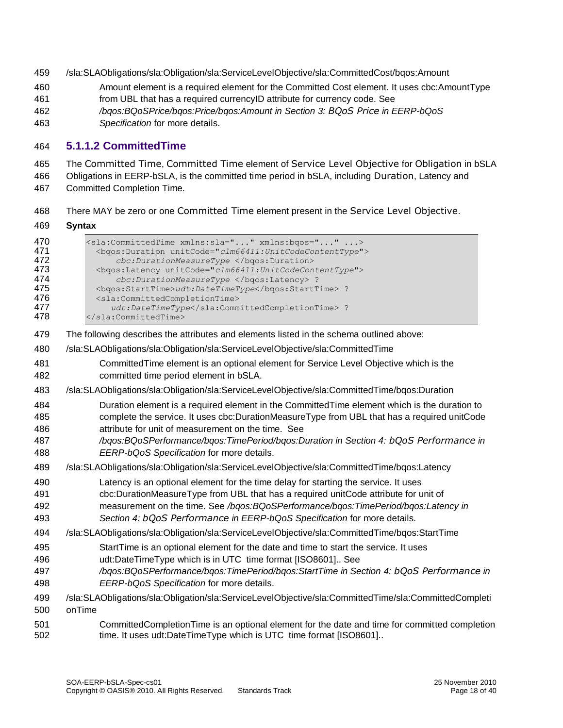- /sla:SLAObligations/sla:Obligation/sla:ServiceLevelObjective/sla:CommittedCost/bqos:Amount
- Amount element is a required element for the Committed Cost element. It uses cbc:AmountType
- from UBL that has a required currencyID attribute for currency code. See
- */bqos:BQoSPrice/bqos:Price/bqos:Amount in Section 3: BQoS Price in EERP-bQoS*
- *Specification* for more details.

#### **5.1.1.2 CommittedTime**

The Committed Time, Committed Time element of Service Level Objective for Obligation in bSLA

 Obligations in EERP-bSLA, is the committed time period in bSLA, including Duration, Latency and Committed Completion Time.

- There MAY be zero or one Committed Time element present in the Service Level Objective.
- **Syntax**

| <sla:committedtime xmlns:bqos="" xmlns:sla=""><br/><bgos: duration="" unitcode="clm66411: UnitCodeContentType"></bgos:></sla:committedtime> |
|---------------------------------------------------------------------------------------------------------------------------------------------|
| cbc: DurationMeasureType                                                                                                                    |
| <bgos:latency unitcode="clm66411:UnitCodeContentType"></bgos:latency>                                                                       |
| cbc: DurationMeasureType  ?                                                                                                                 |
| <bgos:starttime>udt:DateTimeType</bgos:starttime> ?                                                                                         |
| <sla:committedcompletiontime></sla:committedcompletiontime>                                                                                 |
| udt: DateTimeType ?                                                                                                                         |
|                                                                                                                                             |
|                                                                                                                                             |

- The following describes the attributes and elements listed in the schema outlined above:
- /sla:SLAObligations/sla:Obligation/sla:ServiceLevelObjective/sla:CommittedTime
- CommittedTime element is an optional element for Service Level Objective which is the committed time period element in bSLA.
- /sla:SLAObligations/sla:Obligation/sla:ServiceLevelObjective/sla:CommittedTime/bqos:Duration
- Duration element is a required element in the CommittedTime element which is the duration to complete the service. It uses cbc:DurationMeasureType from UBL that has a required unitCode attribute for unit of measurement on the time. See
- */bqos:BQoSPerformance/bqos:TimePeriod/bqos:Duration in Section 4: bQoS Performance in EERP-bQoS Specification* for more details.
- /sla:SLAObligations/sla:Obligation/sla:ServiceLevelObjective/sla:CommittedTime/bqos:Latency
- Latency is an optional element for the time delay for starting the service. It uses
- cbc:DurationMeasureType from UBL that has a required unitCode attribute for unit of
- measurement on the time. See */bqos:BQoSPerformance/bqos:TimePeriod/bqos:Latency in Section 4: bQoS Performance in EERP-bQoS Specification* for more details.
- /sla:SLAObligations/sla:Obligation/sla:ServiceLevelObjective/sla:CommittedTime/bqos:StartTime
- StartTime is an optional element for the date and time to start the service. It uses udt:DateTimeType which is in UTC time format [ISO8601].. See
- */bqos:BQoSPerformance/bqos:TimePeriod/bqos:StartTime in Section 4: bQoS Performance in EERP-bQoS Specification* for more details.
- /sla:SLAObligations/sla:Obligation/sla:ServiceLevelObjective/sla:CommittedTime/sla:CommittedCompleti onTime
- CommittedCompletionTime is an optional element for the date and time for committed completion time. It uses udt:DateTimeType which is UTC time format [ISO8601]..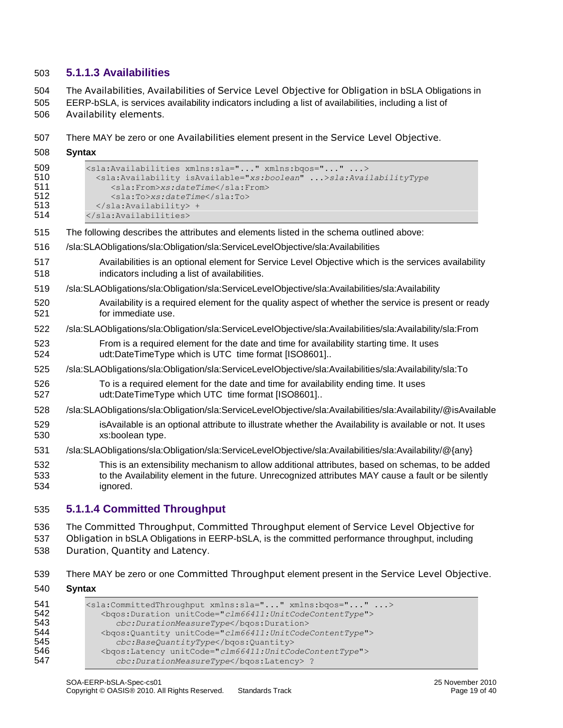### **5.1.1.3 Availabilities**

 The Availabilities, Availabilities of Service Level Objective for Obligation in bSLA Obligations in EERP-bSLA, is services availability indicators including a list of availabilities, including a list of

- Availability elements.
- There MAY be zero or one Availabilities element present in the Service Level Objective.
- **Syntax**

| 509<br>510<br>511<br>512<br>513<br>514 | <sla:availabilities xmlns:bqos="" xmlns:sla=""><br/><sla:availability isavailable="xs:boolean">sla:AvailabilityType<br/><sla:from>xs:dateTime</sla:from><br/><sla:to>xs:dateTime</sla:to><br/></sla:availability> +<br/></sla:availabilities> |
|----------------------------------------|-----------------------------------------------------------------------------------------------------------------------------------------------------------------------------------------------------------------------------------------------|
| 515                                    | The following describes the attributes and elements listed in the schema outlined above:                                                                                                                                                      |
| 516                                    | /sla:SLAObligations/sla:Obligation/sla:ServiceLevelObjective/sla:Availabilities                                                                                                                                                               |
| 517<br>518                             | Availabilities is an optional element for Service Level Objective which is the services availability<br>indicators including a list of availabilities.                                                                                        |
| 519                                    | /sla:SLAObligations/sla:Obligation/sla:ServiceLevelObjective/sla:Availabilities/sla:Availability                                                                                                                                              |
| 520<br>521                             | Availability is a required element for the quality aspect of whether the service is present or ready<br>for immediate use.                                                                                                                    |
| 522                                    | /sla:SLAObligations/sla:Obligation/sla:ServiceLevelObjective/sla:Availabilities/sla:Availability/sla:From                                                                                                                                     |
| 523<br>524                             | From is a required element for the date and time for availability starting time. It uses<br>udt:DateTimeType which is UTC time format [ISO8601]                                                                                               |
| 525                                    | /sla:SLAObligations/sla:Obligation/sla:ServiceLevelObjective/sla:Availabilities/sla:Availability/sla:To                                                                                                                                       |
| 526<br>527                             | To is a required element for the date and time for availability ending time. It uses<br>udt:DateTimeType which UTC time format [ISO8601]                                                                                                      |
| 528                                    | /sla:SLAObligations/sla:Obligation/sla:ServiceLevelObjective/sla:Availabilities/sla:Availability/@isAvailable                                                                                                                                 |
| 529<br>530                             | is Available is an optional attribute to illustrate whether the Availability is available or not. It uses<br>xs:boolean type.                                                                                                                 |
| 531                                    | /sla:SLAObligations/sla:Obligation/sla:ServiceLevelObjective/sla:Availabilities/sla:Availability/@{any}                                                                                                                                       |
| 532<br>533<br>534                      | This is an extensibility mechanism to allow additional attributes, based on schemas, to be added<br>to the Availability element in the future. Unrecognized attributes MAY cause a fault or be silently<br>ignored.                           |
| <b>EOE</b>                             | 511 Cammitted Throughnut                                                                                                                                                                                                                      |

#### **5.1.1.4 Committed Throughput**

 The Committed Throughput, Committed Throughput element of Service Level Objective for Obligation in bSLA Obligations in EERP-bSLA, is the committed performance throughput, including Duration, Quantity and Latency.

 There MAY be zero or one Committed Throughput element present in the Service Level Objective. **Syntax**

| 541 | <sla:committedthroughput xmlns:bgos="" xmlns:sla=""></sla:committedthroughput> |  |  |  |
|-----|--------------------------------------------------------------------------------|--|--|--|
| 542 | <bgos: duration="" unitcode="clm66411: UnitCodeContentType"></bgos:>           |  |  |  |
| 543 | cbc: DurationMeasureType                                                       |  |  |  |
| 544 | <bgos:quantity unitcode="clm66411:UnitCodeContentType"></bgos:quantity>        |  |  |  |
| 545 | cbc:BaseQuantityType                                                           |  |  |  |
| 546 | <bgos:latency unitcode="clm66411:UnitCodeContentType"></bgos:latency>          |  |  |  |
| 547 | cbc: DurationMeasureType ?                                                     |  |  |  |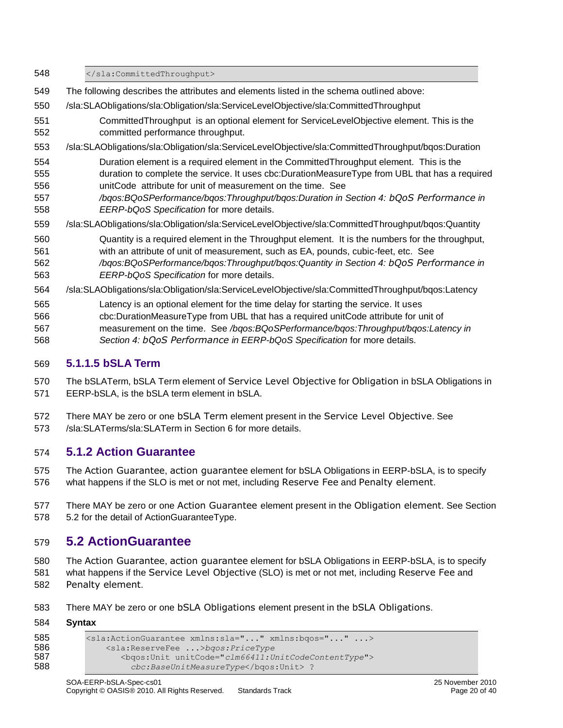| 548                             |                                                                                                                                                                                                                                                                                                                                                                                                 |
|---------------------------------|-------------------------------------------------------------------------------------------------------------------------------------------------------------------------------------------------------------------------------------------------------------------------------------------------------------------------------------------------------------------------------------------------|
| 549                             | The following describes the attributes and elements listed in the schema outlined above:                                                                                                                                                                                                                                                                                                        |
| 550                             | /sla:SLAObligations/sla:Obligation/sla:ServiceLevelObjective/sla:CommittedThroughput                                                                                                                                                                                                                                                                                                            |
| 551<br>552                      | CommittedThroughput is an optional element for ServiceLevelObjective element. This is the<br>committed performance throughput.                                                                                                                                                                                                                                                                  |
| 553                             | /sla:SLAObligations/sla:Obligation/sla:ServiceLevelObjective/sla:CommittedThroughput/bqos:Duration                                                                                                                                                                                                                                                                                              |
| 554<br>555<br>556<br>557<br>558 | Duration element is a required element in the Committed Throughput element. This is the<br>duration to complete the service. It uses cbc:DurationMeasureType from UBL that has a required<br>unit Code attribute for unit of measurement on the time. See<br>/bqos:BQoSPerformance/bqos:Throughput/bqos:Duration in Section 4: bQoS Performance in<br>EERP-bQoS Specification for more details. |
| 559                             | /sla:SLAObligations/sla:Obligation/sla:ServiceLevelObjective/sla:CommittedThroughput/bqos:Quantity                                                                                                                                                                                                                                                                                              |
| 560<br>561<br>562<br>563        | Quantity is a required element in the Throughput element. It is the numbers for the throughput,<br>with an attribute of unit of measurement, such as EA, pounds, cubic-feet, etc. See<br>/bgos:BQoSPerformance/bgos:Throughput/bgos:Quantity in Section 4: bQoS Performance in<br>EERP-bQoS Specification for more details.                                                                     |
| 564                             | /sla:SLAObligations/sla:Obligation/sla:ServiceLevelObjective/sla:CommittedThroughput/bqos:Latency                                                                                                                                                                                                                                                                                               |
| 565<br>566<br>567<br>568        | Latency is an optional element for the time delay for starting the service. It uses<br>cbc:DurationMeasureType from UBL that has a required unitCode attribute for unit of<br>measurement on the time. See /bgos:BQoSPerformance/bgos:Throughput/bgos:Latency in<br>Section 4: bQoS Performance in EERP-bQoS Specification for more details.                                                    |

### **5.1.1.5 bSLA Term**

- The bSLATerm, bSLA Term element of Service Level Objective for Obligation in bSLA Obligations in EERP-bSLA, is the bSLA term element in bSLA.
- There MAY be zero or one bSLA Term element present in the Service Level Objective. See
- 573 /sla:SLATerms/sla:SLATerm in Section 6 for more details.

### <span id="page-19-0"></span>**5.1.2 Action Guarantee**

- The Action Guarantee, action guarantee element for bSLA Obligations in EERP-bSLA, is to specify what happens if the SLO is met or not met, including Reserve Fee and Penalty element.
- There MAY be zero or one Action Guarantee element present in the Obligation element. See Section 5.2 for the detail of ActionGuaranteeType.

### <span id="page-19-1"></span>**5.2 ActionGuarantee**

- The Action Guarantee, action guarantee element for bSLA Obligations in EERP-bSLA, is to specify what happens if the Service Level Objective (SLO) is met or not met, including Reserve Fee and Penalty element.
- There MAY be zero or one bSLA Obligations element present in the bSLA Obligations.

**Syntax**

```
585 <sla:ActionGuarantee xmlns:sla="..." xmlns:bqos="..." ...><br>586 <sla:ReserveFee ...>bqos:PriceType
586 <sla:ReserveFee ...>bqos:PriceType<br>587 <br/>bqos:Unit unitCode="clm66411:U.
587 <br />
<br />
<br />
<br />
<br />
<br />
code="clm66411:UnitCodeContentType">
588
                          588 cbc:BaseUnitMeasureType</bqos:Unit> ?
```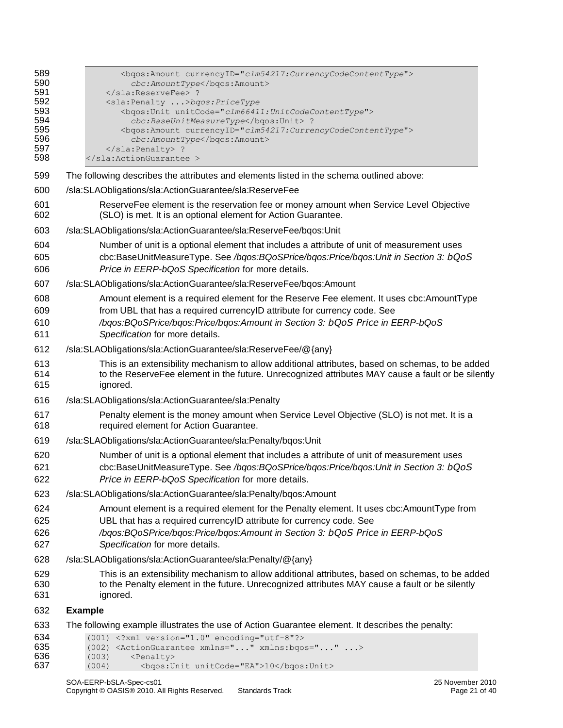| 589<br>590<br>591<br>592<br>593<br>594<br>595<br>596<br>597<br>598 | <bgos:amount currencyid="clm54217:CurrencyCodeContentType"><br/>cbc: AmountType<br/> ?<br/><sla:penalty>bqos:PriceType<br/><bgos: unit="" unitcode="clm66411: UnitCodeContentType"><br/>cbc:BaseUnitMeasureType ?<br/><bgos:amount currencyid="clm54217:CurrencyCodeContentType"><br/>cbc: AmountType<br/></bgos:amount></bgos:></sla:penalty> ?<br/></bgos:amount> |
|--------------------------------------------------------------------|---------------------------------------------------------------------------------------------------------------------------------------------------------------------------------------------------------------------------------------------------------------------------------------------------------------------------------------------------------------------|
| 599                                                                | The following describes the attributes and elements listed in the schema outlined above:                                                                                                                                                                                                                                                                            |
| 600                                                                | /sla:SLAObligations/sla:ActionGuarantee/sla:ReserveFee                                                                                                                                                                                                                                                                                                              |
| 601<br>602                                                         | ReserveFee element is the reservation fee or money amount when Service Level Objective<br>(SLO) is met. It is an optional element for Action Guarantee.                                                                                                                                                                                                             |
| 603                                                                | /sla:SLAObligations/sla:ActionGuarantee/sla:ReserveFee/bqos:Unit                                                                                                                                                                                                                                                                                                    |
| 604<br>605<br>606                                                  | Number of unit is a optional element that includes a attribute of unit of measurement uses<br>cbc:BaseUnitMeasureType. See /bqos:BQoSPrice/bqos:Price/bqos:Unit in Section 3: bQoS<br>Price in EERP-bQoS Specification for more details.                                                                                                                            |
| 607                                                                | /sla:SLAObligations/sla:ActionGuarantee/sla:ReserveFee/bqos:Amount                                                                                                                                                                                                                                                                                                  |
| 608<br>609<br>610<br>611                                           | Amount element is a required element for the Reserve Fee element. It uses cbc:AmountType<br>from UBL that has a required currencyID attribute for currency code. See<br>/bqos:BQoSPrice/bqos:Price/bqos:Amount in Section 3: bQoS Price in EERP-bQoS<br>Specification for more details.                                                                             |
| 612                                                                | /sla:SLAObligations/sla:ActionGuarantee/sla:ReserveFee/@{any}                                                                                                                                                                                                                                                                                                       |
| 613<br>614<br>615                                                  | This is an extensibility mechanism to allow additional attributes, based on schemas, to be added<br>to the ReserveFee element in the future. Unrecognized attributes MAY cause a fault or be silently<br>ignored.                                                                                                                                                   |
| 616                                                                | /sla:SLAObligations/sla:ActionGuarantee/sla:Penalty                                                                                                                                                                                                                                                                                                                 |
| 617<br>618                                                         | Penalty element is the money amount when Service Level Objective (SLO) is not met. It is a<br>required element for Action Guarantee.                                                                                                                                                                                                                                |
| 619                                                                | /sla:SLAObligations/sla:ActionGuarantee/sla:Penalty/bqos:Unit                                                                                                                                                                                                                                                                                                       |
| 620<br>621<br>622                                                  | Number of unit is a optional element that includes a attribute of unit of measurement uses<br>cbc:BaseUnitMeasureType. See /bqos:BQoSPrice/bqos:Price/bqos:Unit in Section 3: bQoS<br>Price in EERP-bQoS Specification for more details.                                                                                                                            |
| 623                                                                | /sla:SLAObligations/sla:ActionGuarantee/sla:Penalty/bqos:Amount                                                                                                                                                                                                                                                                                                     |
| 624<br>625<br>626<br>627                                           | Amount element is a required element for the Penalty element. It uses cbc:AmountType from<br>UBL that has a required currencyID attribute for currency code. See<br>/bqos:BQoSPrice/bqos:Price/bqos:Amount in Section 3: bQoS Price in EERP-bQoS<br>Specification for more details.                                                                                 |
| 628                                                                | /sla:SLAObligations/sla:ActionGuarantee/sla:Penalty/@{any}                                                                                                                                                                                                                                                                                                          |
| 629<br>630<br>631                                                  | This is an extensibility mechanism to allow additional attributes, based on schemas, to be added<br>to the Penalty element in the future. Unrecognized attributes MAY cause a fault or be silently<br>ignored.                                                                                                                                                      |
| 632                                                                | <b>Example</b>                                                                                                                                                                                                                                                                                                                                                      |
| 633                                                                | The following example illustrates the use of Action Guarantee element. It describes the penalty:                                                                                                                                                                                                                                                                    |
| 634<br>635<br>636<br>637                                           | (001) xml version="1.0" encoding="utf-8"?<br>(002) <actionguarantee xmlns="" xmlns:bqos=""><br/><penalty><br/>(003)<br/><bgos: unit="" unitcode="EA">10</bgos:><br/>(004)</penalty></actionguarantee>                                                                                                                                                               |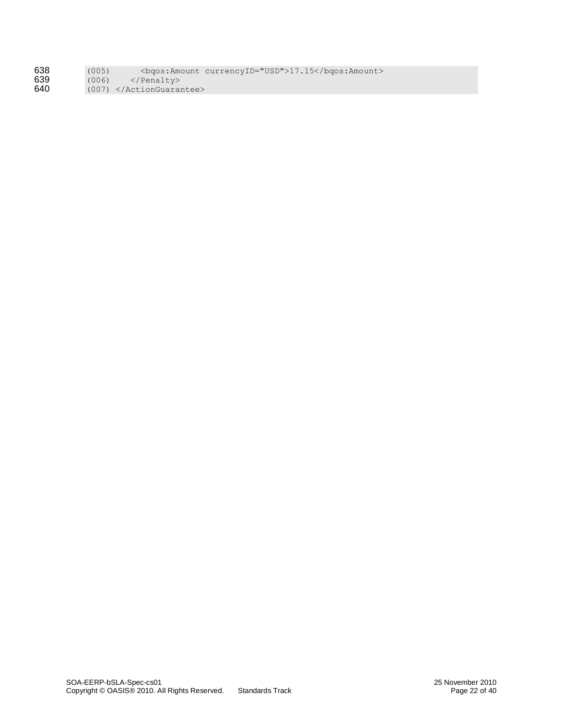- 638 (005) <br/> <br/>bqos:Amount currencyID="USD">17.15</bqos:Amount> 639 (006) </Penalty>
- 639 (006) </Penalty><br>640 (007) </ActionGuara
- 640 (007) </ActionGuarantee>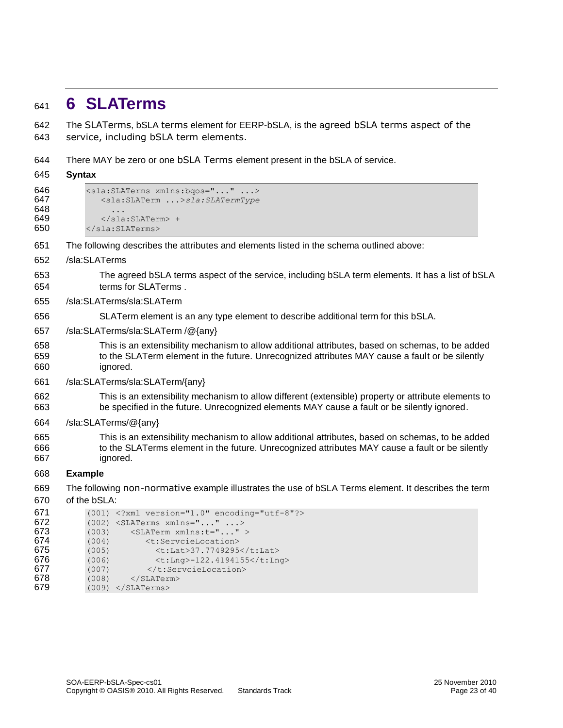## <span id="page-22-0"></span>**6 SLATerms**

 The SLATerms, bSLA terms element for EERP-bSLA, is the agreed bSLA terms aspect of the service, including bSLA term elements.

There MAY be zero or one bSLA Terms element present in the bSLA of service.

| 645                                                         | <b>Syntax</b>                                                                                                                                                                                                                                                                                                                  |  |  |
|-------------------------------------------------------------|--------------------------------------------------------------------------------------------------------------------------------------------------------------------------------------------------------------------------------------------------------------------------------------------------------------------------------|--|--|
| 646<br>647<br>648<br>649<br>650                             | <sla: bqos="" slaterms="" xmlns:=""><br/><sla:slaterm>sla:SLATermType<br/></sla:slaterm> +<br/><math>\langle</math>/sla:SLATerms&gt;</sla:>                                                                                                                                                                                    |  |  |
|                                                             |                                                                                                                                                                                                                                                                                                                                |  |  |
| 651                                                         | The following describes the attributes and elements listed in the schema outlined above:<br>/sla:SLATerms                                                                                                                                                                                                                      |  |  |
| 652                                                         |                                                                                                                                                                                                                                                                                                                                |  |  |
| 653<br>654                                                  | The agreed bSLA terms aspect of the service, including bSLA term elements. It has a list of bSLA<br>terms for SLATerms.                                                                                                                                                                                                        |  |  |
| 655                                                         | /sla:SLATerms/sla:SLATerm                                                                                                                                                                                                                                                                                                      |  |  |
| 656                                                         | SLATerm element is an any type element to describe additional term for this bSLA.                                                                                                                                                                                                                                              |  |  |
| 657                                                         | /sla:SLATerms/sla:SLATerm /@{any}                                                                                                                                                                                                                                                                                              |  |  |
| 658<br>659<br>660                                           | This is an extensibility mechanism to allow additional attributes, based on schemas, to be added<br>to the SLATerm element in the future. Unrecognized attributes MAY cause a fault or be silently<br>ignored.                                                                                                                 |  |  |
| 661                                                         | /sla:SLATerms/sla:SLATerm/{any}                                                                                                                                                                                                                                                                                                |  |  |
| 662<br>663                                                  | This is an extensibility mechanism to allow different (extensible) property or attribute elements to<br>be specified in the future. Unrecognized elements MAY cause a fault or be silently ignored.                                                                                                                            |  |  |
| 664                                                         | /sla:SLATerms/@{any}                                                                                                                                                                                                                                                                                                           |  |  |
| 665<br>666<br>667                                           | This is an extensibility mechanism to allow additional attributes, based on schemas, to be added<br>to the SLATerms element in the future. Unrecognized attributes MAY cause a fault or be silently<br>ignored.                                                                                                                |  |  |
| 668                                                         | <b>Example</b>                                                                                                                                                                                                                                                                                                                 |  |  |
| 669<br>670                                                  | The following non-normative example illustrates the use of bSLA Terms element. It describes the term<br>of the bSLA:                                                                                                                                                                                                           |  |  |
| 671<br>672<br>673<br>674<br>675<br>676<br>677<br>678<br>679 | (001) xml version="1.0" encoding="utf-8"?<br>$(002)$ <slaterms xmlns=""><br/>(003)<br/><slaterm xmlns:t=""><br/>(004)<br/><t:servcielocation><br/><t:lat>37.7749295</t:lat><br/>(005)<br/>(006)<br/><t:lng>-122.4194155</t:lng><br/>(007)<br/></t:servcielocation><br/></slaterm><br/>(008)<br/><math>(009)</math> </slaterms> |  |  |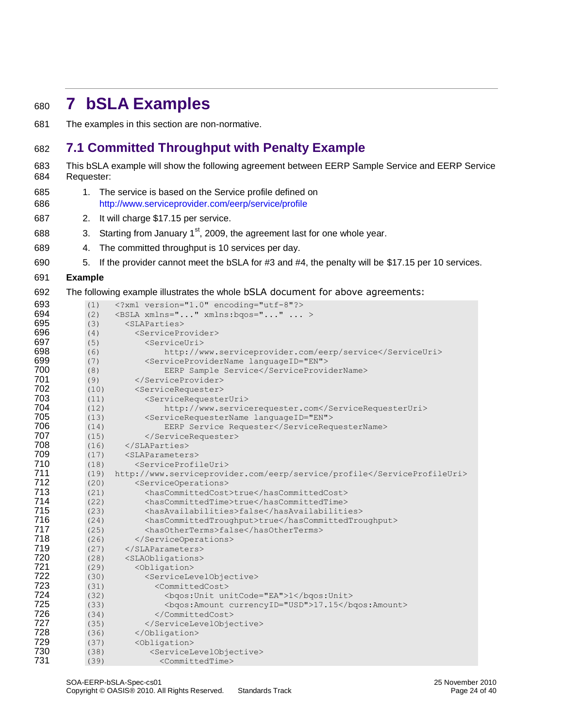# <span id="page-23-0"></span><sup>680</sup> **7 bSLA Examples**

681 The examples in this section are non-normative.

### <span id="page-23-1"></span>682 **7.1 Committed Throughput with Penalty Example**

- 683 This bSLA example will show the following agreement between EERP Sample Service and EERP Service 684 Requester:
- 685 1. The service is based on the Service profile defined on 686 <http://www.serviceprovider.com/eerp/service/profile>
- 687 2. It will charge \$17.15 per service.
- 688 3. Starting from January  $1<sup>st</sup>$ , 2009, the agreement last for one whole year.
- 689 4. The committed throughput is 10 services per day.
- 690 5. If the provider cannot meet the bSLA for #3 and #4, the penalty will be \$17.15 per 10 services.

#### 691 **Example**

692 The following example illustrates the whole bSLA document for above agreements:

| 693 | (1)  | xml version="1.0" encoding="utf-8"?                           |  |  |  |
|-----|------|---------------------------------------------------------------|--|--|--|
| 694 | (2)  | <bsla xmlns="" xmlns:bqos=""></bsla>                          |  |  |  |
| 695 | (3)  | <slaparties></slaparties>                                     |  |  |  |
| 696 | (4)  | <serviceprovider></serviceprovider>                           |  |  |  |
| 697 | (5)  | <serviceuri></serviceuri>                                     |  |  |  |
| 698 | (6)  | http://www.serviceprovider.com/eerp/service                   |  |  |  |
| 699 | (7)  | <serviceprovidername languageid="EN"></serviceprovidername>   |  |  |  |
| 700 | (8)  | EERP Sample Service                                           |  |  |  |
| 701 | (9)  |                                                               |  |  |  |
| 702 | (10) | <servicerequester></servicerequester>                         |  |  |  |
| 703 | (11) | <servicerequesteruri></servicerequesteruri>                   |  |  |  |
| 704 | (12) | http://www.servicerequester.com                               |  |  |  |
| 705 | (13) | <servicerequestername languageid="EN"></servicerequestername> |  |  |  |
| 706 | (14) | EERP Service Requester                                        |  |  |  |
| 707 | (15) |                                                               |  |  |  |
| 708 | (16) | $\langle$ /SLAParties>                                        |  |  |  |
| 709 | (17) | <slaparameters></slaparameters>                               |  |  |  |
| 710 | (18) | <serviceprofileuri></serviceprofileuri>                       |  |  |  |
| 711 | (19) | http://www.serviceprovider.com/eerp/service/profile           |  |  |  |
| 712 | (20) | <serviceoperations></serviceoperations>                       |  |  |  |
| 713 | (21) | <hascommittedcost>true</hascommittedcost>                     |  |  |  |
| 714 | (22) | <hascommittedtime>true</hascommittedtime>                     |  |  |  |
| 715 | (23) | <hasavailabilities>false</hasavailabilities>                  |  |  |  |
| 716 | (24) | <hascommittedtroughput>true</hascommittedtroughput>           |  |  |  |
| 717 | (25) | <hasotherterms>false</hasotherterms>                          |  |  |  |
| 718 | (26) |                                                               |  |  |  |
| 719 | (27) |                                                               |  |  |  |
| 720 | (28) | <slaobligations></slaobligations>                             |  |  |  |
| 721 | (29) | <obligation></obligation>                                     |  |  |  |
| 722 | (30) | <servicelevelobjective></servicelevelobjective>               |  |  |  |
| 723 | (31) | <committedcost></committedcost>                               |  |  |  |
| 724 | (32) | <bgos: unit="" unitcode="EA">1</bgos:>                        |  |  |  |
| 725 | (33) | <bgos: amount="" currencyid="USD">17.15</bgos:>               |  |  |  |
| 726 | (34) |                                                               |  |  |  |
| 727 | (35) |                                                               |  |  |  |
| 728 | (36) |                                                               |  |  |  |
| 729 | (37) | <obligation></obligation>                                     |  |  |  |
| 730 | (38) | <servicelevelobjective></servicelevelobjective>               |  |  |  |
| 731 | (39) | <committedtime></committedtime>                               |  |  |  |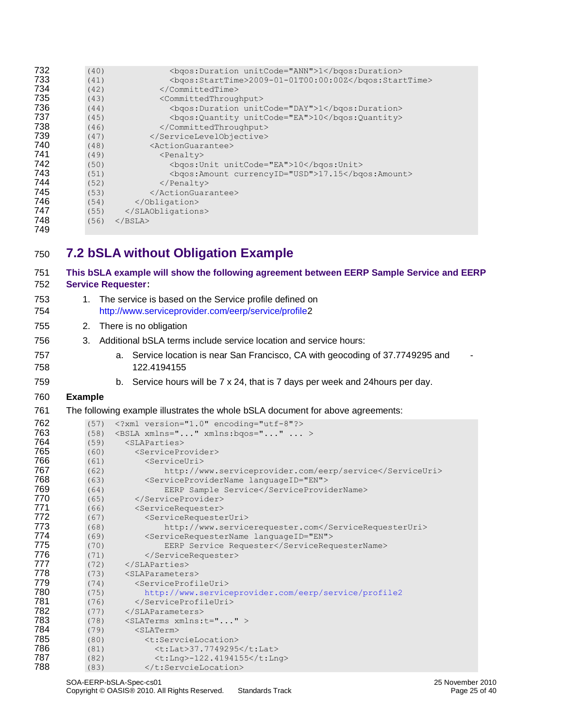| 732 | (40) | <bgos: duration="" unitcode="ANN">1</bgos:>       |
|-----|------|---------------------------------------------------|
| 733 | (41) | $<$ bqos: StartTime>2009-01-01T00:00:00Z          |
| 734 | (42) |                                                   |
| 735 | (43) | <committedthroughput></committedthroughput>       |
| 736 | (44) | <bgos: duration="" unitcode="DAY">1</bgos:>       |
| 737 | (45) | <bgos: ouantity="" unitcode="EA">10</bgos:>       |
| 738 | (46) |                                                   |
| 739 | (47) |                                                   |
| 740 | (48) | <actionguarantee></actionguarantee>               |
| 741 | (49) | <penalty></penalty>                               |
| 742 | (50) | <bgos: unit="" unitcode="EA">10</bgos:>           |
| 743 | (51) | <bgos:amount currencyid="USD">17.15</bgos:amount> |
| 744 | (52) | $\langle$ /Penalty>                               |
| 745 | (53) |                                                   |
| 746 | (54) |                                                   |
| 747 | (55) |                                                   |
| 748 | (56) | $\langle$ /BSLA>                                  |
| 749 |      |                                                   |

# <span id="page-24-0"></span>750 **7.2 bSLA without Obligation Example**

| 751        | This bSLA example will show the following agreement between EERP Sample Service and EERP |                                                                                                  |  |  |  |
|------------|------------------------------------------------------------------------------------------|--------------------------------------------------------------------------------------------------|--|--|--|
| 752        | <b>Service Requester:</b>                                                                |                                                                                                  |  |  |  |
| 753        | The service is based on the Service profile defined on<br>1.                             |                                                                                                  |  |  |  |
| 754        | http://www.serviceprovider.com/eerp/service/profile2                                     |                                                                                                  |  |  |  |
| 755        | 2.                                                                                       | There is no obligation                                                                           |  |  |  |
| 756        | 3 <sub>1</sub>                                                                           | Additional bSLA terms include service location and service hours:                                |  |  |  |
|            |                                                                                          |                                                                                                  |  |  |  |
| 757<br>758 |                                                                                          | Service location is near San Francisco, CA with geocoding of 37.7749295 and<br>а.<br>122.4194155 |  |  |  |
| 759        |                                                                                          | Service hours will be 7 x 24, that is 7 days per week and 24 hours per day.<br>b.                |  |  |  |
| 760        | <b>Example</b>                                                                           |                                                                                                  |  |  |  |
| 761        |                                                                                          | The following example illustrates the whole bSLA document for above agreements:                  |  |  |  |
| 762        | (57)                                                                                     | xml version="1.0" encoding="utf-8"?                                                              |  |  |  |
| 763        | (58)                                                                                     | <bsla xmlns="" xmlns:bqos=""></bsla>                                                             |  |  |  |
| 764        | (59)                                                                                     | <slaparties></slaparties>                                                                        |  |  |  |
| 765        | (60)                                                                                     | <serviceprovider></serviceprovider>                                                              |  |  |  |
| 766        | (61)                                                                                     | <serviceuri></serviceuri>                                                                        |  |  |  |
| 767        | (62)                                                                                     | http://www.serviceprovider.com/eerp/service                                                      |  |  |  |
| 768        | (63)                                                                                     | <serviceprovidername languageid="EN"></serviceprovidername>                                      |  |  |  |
| 769        | (64)                                                                                     | EERP Sample Service                                                                              |  |  |  |
| 770        | (65)                                                                                     |                                                                                                  |  |  |  |
| 771        | (66)                                                                                     | <servicerequester></servicerequester>                                                            |  |  |  |
| 772        | (67)                                                                                     | <servicerequesteruri></servicerequesteruri>                                                      |  |  |  |
| 773        | (68)                                                                                     | http://www.servicerequester.com                                                                  |  |  |  |
| 774        | (69)                                                                                     | <servicerequestername languageid="EN"></servicerequestername>                                    |  |  |  |
| 775        | (70)                                                                                     | EERP Service Requester                                                                           |  |  |  |
| 776        | (71)                                                                                     |                                                                                                  |  |  |  |
| 777        | (72)                                                                                     |                                                                                                  |  |  |  |
| 778        | (73)                                                                                     | <slaparameters></slaparameters>                                                                  |  |  |  |
| 779        | (74)                                                                                     | <serviceprofileuri></serviceprofileuri>                                                          |  |  |  |
| 780        | (75)                                                                                     | http://www.serviceprovider.com/eerp/service/profile2                                             |  |  |  |
| 781        | (76)                                                                                     |                                                                                                  |  |  |  |
| 782        | (77)                                                                                     |                                                                                                  |  |  |  |
| 783        | (78)                                                                                     | $\texttt{ xmlns:t="" >$                                                                          |  |  |  |
| 784        | (79)                                                                                     | <slaterm></slaterm>                                                                              |  |  |  |
| 785        | (80)                                                                                     | <t:servcielocation></t:servcielocation>                                                          |  |  |  |
| 786        | (81)                                                                                     | <t:lat>37.7749295</t:lat>                                                                        |  |  |  |
| 787        | (82)                                                                                     | $<$ t:Lng>-122.4194155                                                                           |  |  |  |
| 788        | (83)                                                                                     |                                                                                                  |  |  |  |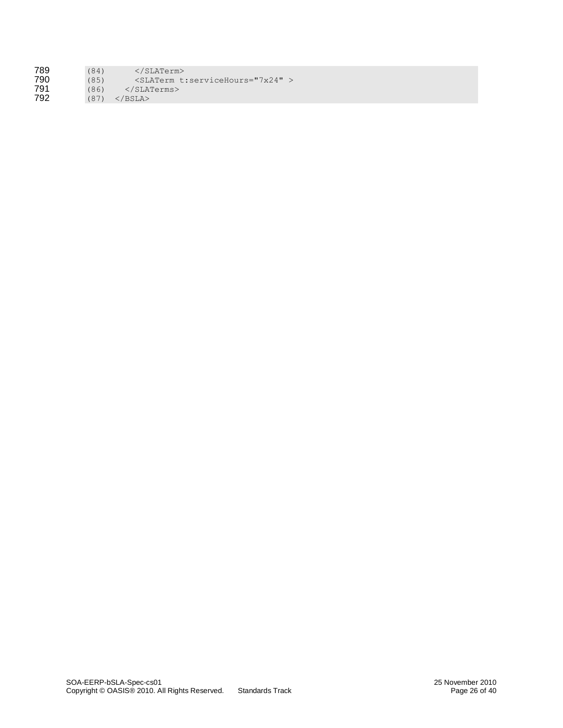| 789 | (84) | $\langle$ /SLATerm $\rangle$              |
|-----|------|-------------------------------------------|
| 790 | (85) | <slaterm t:servicehours="7x24"></slaterm> |
| 791 | (86) | $\langle$ /SLATerms>                      |
| 792 | (87) | //BSLA>                                   |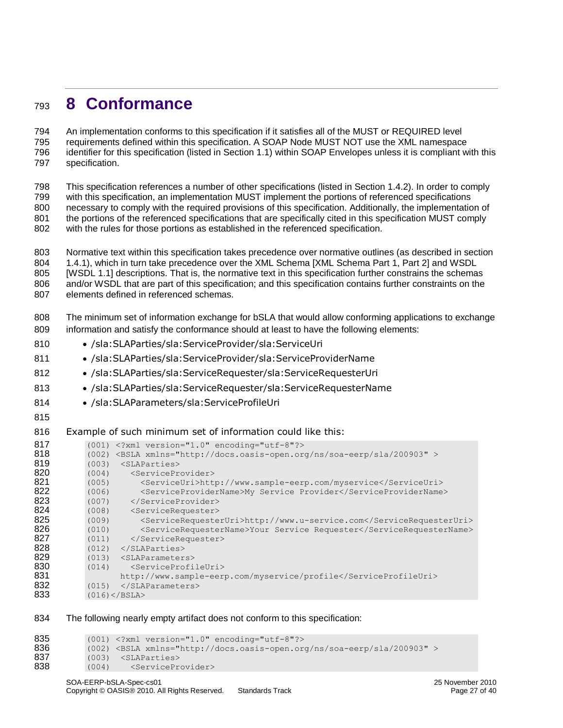# <span id="page-26-0"></span><sup>793</sup> **8 Conformance**

 An implementation conforms to this specification if it satisfies all of the MUST or REQUIRED level requirements defined within this specification. A SOAP Node MUST NOT use the XML namespace identifier for this specification (listed in Section 1.1) within SOAP Envelopes unless it is compliant with this specification.

 This specification references a number of other specifications (listed in Section 1.4.2). In order to comply with this specification, an implementation MUST implement the portions of referenced specifications necessary to comply with the required provisions of this specification. Additionally, the implementation of the portions of the referenced specifications that are specifically cited in this specification MUST comply with the rules for those portions as established in the referenced specification.

 Normative text within this specification takes precedence over normative outlines (as described in section 1.4.1), which in turn take precedence over the XML Schema [XML Schema Part 1, Part 2] and WSDL 805 [WSDL 1.1] descriptions. That is, the normative text in this specification further constrains the schemas and/or WSDL that are part of this specification; and this specification contains further constraints on the elements defined in referenced schemas.

- 808 The minimum set of information exchange for bSLA that would allow conforming applications to exchange 809 information and satisfy the conformance should at least to have the following elements:
- 810 /sla:SLAParties/sla:ServiceProvider/sla:ServiceUri
- 811 /sla:SLAParties/sla:ServiceProvider/sla:ServiceProviderName
- 812 /sla:SLAParties/sla:ServiceRequester/sla:ServiceRequesterUri
- 813 /sla:SLAParties/sla:ServiceRequester/sla:ServiceRequesterName
- 814 /sla:SLAParameters/sla:ServiceProfileUri
- 815

816 Example of such minimum set of information could like this:

| 817 |       | $(001)$ xml version="1.0" encoding="utf-8"?                             |
|-----|-------|-------------------------------------------------------------------------|
| 818 | (002) | <bsla xmlns="http://docs.oasis-open.org/ns/soa-eerp/sla/200903"></bsla> |
| 819 | (003) | <slaparties></slaparties>                                               |
| 820 | (004) | <serviceprovider></serviceprovider>                                     |
| 821 | (005) | <serviceuri>http://www.sample-eerp.com/myservice</serviceuri>           |
| 822 | (006) | <serviceprovidername>My Service Provider</serviceprovidername>          |
| 823 | (007) |                                                                         |
| 824 | (008) | <servicerequester></servicerequester>                                   |
| 825 | (009) | <servicerequesteruri>http://www.u-service.com</servicerequesteruri>     |
| 826 | (010) | <servicerequestername>Your Service Requester</servicerequestername>     |
| 827 | (011) |                                                                         |
| 828 | (012) | $\langle$ /SLAParties>                                                  |
| 829 | (013) | <slaparameters></slaparameters>                                         |
| 830 | (014) | <serviceprofileuri></serviceprofileuri>                                 |
| 831 |       | http://www.sample-eerp.com/myservice/profile                            |
| 832 | (015) |                                                                         |
| 833 |       | $(016)$                                                                 |

834 The following nearly empty artifact does not conform to this specification:

| 835 |       | $(001)$ xml version="1.0" encoding="utf-8"?                                     |  |
|-----|-------|---------------------------------------------------------------------------------|--|
| 836 |       | $(002)$ <bsla xmlns="http://docs.oasis-open.org/ns/soa-eerp/sla/200903"></bsla> |  |
| 837 |       | $(003)$ $\leq$ SLAParties>                                                      |  |
| 838 | (004) | <serviceprovider></serviceprovider>                                             |  |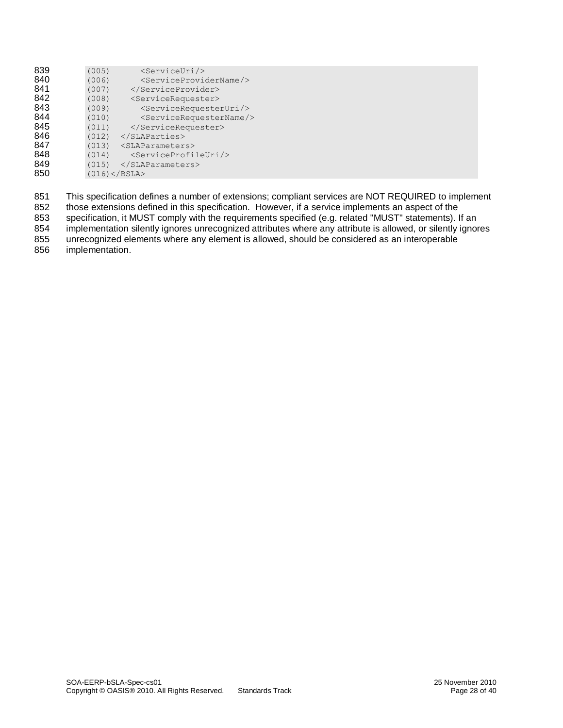| 839 | (005)   | $<$ ServiceUri $/$                            |
|-----|---------|-----------------------------------------------|
| 840 | (006)   | <serviceprovidername></serviceprovidername>   |
| 841 | (007)   |                                               |
| 842 | (008)   | <servicerequester></servicerequester>         |
| 843 | (009)   | <servicerequesteruri></servicerequesteruri>   |
| 844 | (010)   | <servicerequestername></servicerequestername> |
| 845 | (011)   |                                               |
| 846 | (012)   | $\langle$ /SLAParties>                        |
| 847 | (013)   | <slaparameters></slaparameters>               |
| 848 | (014)   | <serviceprofileuri></serviceprofileuri>       |
| 849 | (015)   |                                               |
| 850 | $(016)$ |                                               |
|     |         |                                               |

851 This specification defines a number of extensions; compliant services are NOT REQUIRED to implement 852 those extensions defined in this specification. However, if a service implements an aspect of the 852 those extensions defined in this specification. However, if a service implements an aspect of the specification, it MUST comply with the requirements specified (e.g. related "MUST" statements). 853 specification, it MUST comply with the requirements specified (e.g. related "MUST" statements). If an 854 implementation silently ignores unrecognized attributes where any attribute is allowed, or silently ignore 854 implementation silently ignores unrecognized attributes where any attribute is allowed, or silently ignores<br>855 unrecognized elements where any element is allowed, should be considered as an interoperable unrecognized elements where any element is allowed, should be considered as an interoperable

implementation.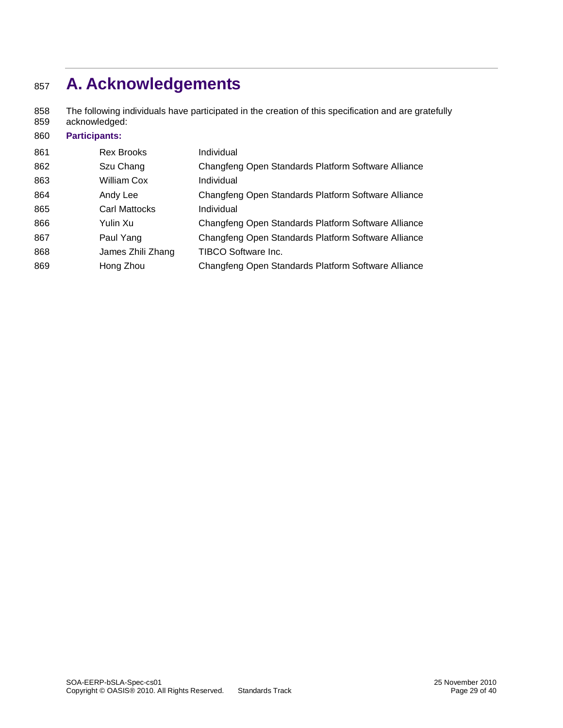# <span id="page-28-0"></span>**A. Acknowledgements**

858 The following individuals have participated in the creation of this specification and are gratefully<br>859 acknowledged: acknowledged:

| 860 | <b>Participants:</b> |                                                     |  |  |
|-----|----------------------|-----------------------------------------------------|--|--|
| 861 | <b>Rex Brooks</b>    | Individual                                          |  |  |
| 862 | Szu Chang            | Changfeng Open Standards Platform Software Alliance |  |  |
| 863 | William Cox          | Individual                                          |  |  |
| 864 | Andy Lee             | Changfeng Open Standards Platform Software Alliance |  |  |
| 865 | Carl Mattocks        | Individual                                          |  |  |
| 866 | Yulin Xu             | Changfeng Open Standards Platform Software Alliance |  |  |
| 867 | Paul Yang            | Changfeng Open Standards Platform Software Alliance |  |  |
| 868 | James Zhili Zhang    | TIBCO Software Inc.                                 |  |  |
| 869 | Hong Zhou            | Changfeng Open Standards Platform Software Alliance |  |  |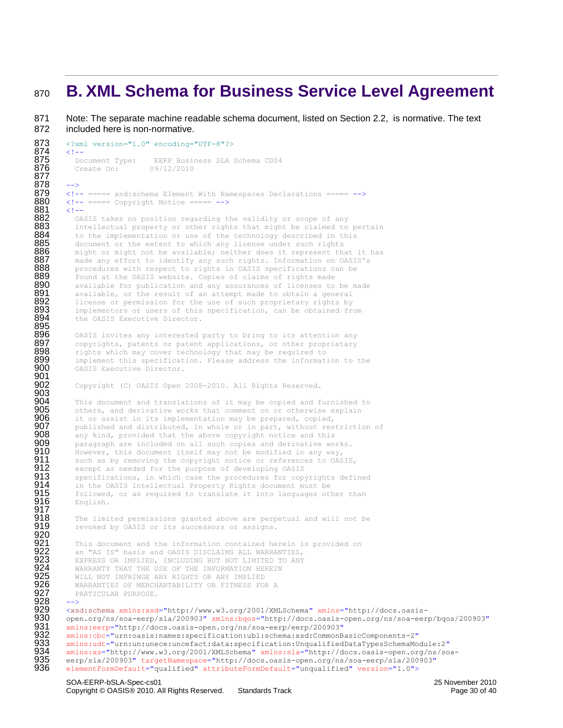### <span id="page-29-0"></span><sup>870</sup> **B. XML Schema for Business Service Level Agreement**

871 Note: The separate machine readable schema document, listed on Section 2.2, is normative. The text 872 included here is non-normative.

```
SOA-EERP-bSLA-Spec-cs01 25 November 2010
873 <?xml version="1.0" encoding="UTF-8"?>
874 <!--<br>875 Document Type:
875 Document Type: EERP Business SLA Schema CD04<br>876 Create On: 09/12/2010
               Create On: 09/12/2010
877
878 --><br>879 <!-
879 \leq \leq \leq \leq \leq \leq \leq \leq \leq \leq \leq \leq \leq \leq \leq \leq \leq \leq \leq \leq \leq \leq \leq \leq \leq \leq \leq \leq \leq \leq \leq \leq \leq \leq \leq \leq 880 \langle-- ===== Copyright Notice ===== --><br>881 \langle--
881 \leq 1 - \frac{1}{2}882 OASIS takes no position regarding the validity or scope of any<br>883 Intellectual property or other rights that might be claimed to
883 intellectual property or other rights that might be claimed to pertain 884 to the implementation or use of the technology described in this
884 to the implementation or use of the technology described in this<br>885 document or the extent to which any license under such rights
885 document or the extent to which any license under such rights<br>886 might or might not be available; neither does it represent th.
886 might or might not be available; neither does it represent that it has 887 made any effort to identify any such rights. Information on OASIS's
887 made any effort to identify any such rights. Information on OASIS's<br>888 Theore of the respect to rights in OASIS specifications can be
888 procedures with respect to rights in OASIS specifications can be 889 found at the OASIS website. Copies of claims of rights made
889 Found at the OASIS website. Copies of claims of rights made 890 available for publication and any assurances of licenses to
890 available for publication and any assurances of licenses to be made 891 available, or the result of an attempt made to obtain a general
891 available, or the result of an attempt made to obtain a general<br>892 license or permission for the use of such proprietary rights by
892 license or permission for the use of such proprietary rights by 893 implementors or users of this specification, can be obtained fre
893 implementors or users of this specification, can be obtained from<br>894 the OASIS Executive Director.
               the OASIS Executive Director.
895<br>896
896 OASIS invites any interested party to bring to its attention any<br>897 Copyrights, patents or patent applications, or other proprietary
897 copyrights, patents or patent applications, or other proprietary<br>898 rights which may cover technology that may be required to
898 rights which may cover technology that may be required to 899 implement this specification. Please address the informat
899 implement this specification. Please address the information to the 900 0ASIS Executive Director.
               OASIS Executive Director.
901 
               Copyright (C) OASIS Open 2008-2010. All Rights Reserved.
903
904 This document and translations of it may be copied and furnished to 905 others, and derivative works that comment on or otherwise explain
905 others, and derivative works that comment on or otherwise explain 906 it or assist in its implementation may be prepared, copied,
906 it or assist in its implementation may be prepared, copied,<br>907 bublished and distributed, in whole or in part, without res
907 published and distributed, in whole or in part, without restriction of 908 any kind, provided that the above copyright notice and this
908 any kind, provided that the above copyright notice and this<br>909 baragraph are included on all such copies and derivative wo
909 paragraph are included on all such copies and derivative works.<br>910 However, this document itself may not be modified in any way,
910 However, this document itself may not be modified in any way,<br>911 Such as by removing the copyright notice or references to OAS
911 such as by removing the copyright notice or references to OASIS,<br>912 except as needed for the purpose of developing OASIS
912 except as needed for the purpose of developing OASIS<br>913 specifications, in which case the procedures for cop
913 specifications, in which case the procedures for copyrights defined<br>914 in the OASIS Intellectual Property Rights document must be
914 in the OASIS Intellectual Property Rights document must be 915 followed, or as required to translate it into languages ot
915 followed, or as required to translate it into languages other than<br>916 English.
               English.
917<br>918
918 The limited permissions granted above are perpetual and will not be 919
               revoked by OASIS or its successors or assigns.
920<br>921<br>922
               This document and the information contained herein is provided on
922 an "AS IS" basis and OASIS DISCLAIMS ALL WARRANTIES,<br>923 EXPRESS OR IMPLIED, INCLUDING BUT NOT LIMITED TO ANY
923 EXPRESS OR IMPLIED, INCLUDING BUT NOT LIMITED TO ANY 924 WARRANTY THAT THE USE OF THE INFORMATION HEREIN
924 WARRANTY THAT THE USE OF THE INFORMATION HEREIN<br>925 WILL NOT INFRINGE ANY RIGHTS OR ANY IMPLIED<br>926 WARRANTIES OF MERCHANTABILITY OR FITNESS FOR A
               WILL NOT INFRINGE ANY RIGHTS OR ANY IMPLIED
               WARRANTIES OF MERCHANTABILITY OR FITNESS FOR A
               PARTICULAR PURPOSE.
927<br>928 --><br>929 <-s
929 <xsd:schema xmlns:xsd="http://www.w3.org/2001/XMLSchema" xmlns="http://docs.oasis-<br>930 open.org/ns/soa-eerp/sla/200903" xmlns:bgos="http://docs.oasis-open.org/ns/soa-eer
930 open.org/ns/soa-eerp/sla/200903" xmlns:bqos="http://docs.oasis-open.org/ns/soa-eerp/bqos/200903"<br>931 mmlns:eerp="http://docs.oasis-open.org/ns/soa-eerp/eerp/200903"
931 xmlns:eerp="http://docs.oasis-open.org/ns/soa-eerp/eerp/200903"<br>932 xmlns:cbc="urn:oasis:names:specification:ubl:schema:xsd:CommonB
932 xmlns:cbc="urn:oasis:names:specification:ubl:schema:xsd:CommonBasicComponents-2"
933 xmlns:udt="urn:un:unece:uncefact:data:specification:UnqualifiedDataTypesSchemaModule:2"<br>934 xmlns:xs="http://www.w3.org/2001/XMLSchema" xmlns:sla="http://docs.oasis-open.org/ns/so
934 xmlns:xs="http://www.w3.org/2001/XMLSchema" xmlns:sla="http://docs.oasis-open.org/ns/soa-<br>935 eerp/sla/200903" targetNamespace="http://docs.oasis-open.org/ns/soa-eerp/sla/200903"
935 eerp/sla/200903" targetNamespace="http://docs.oasis-open.org/ns/soa-eerp/sla/200903"<br>936 elementFormDefault="qualified" attributeFormDefault="unqualified" version="1.0">
            936 elementFormDefault="qualified" attributeFormDefault="unqualified" version="1.0">
```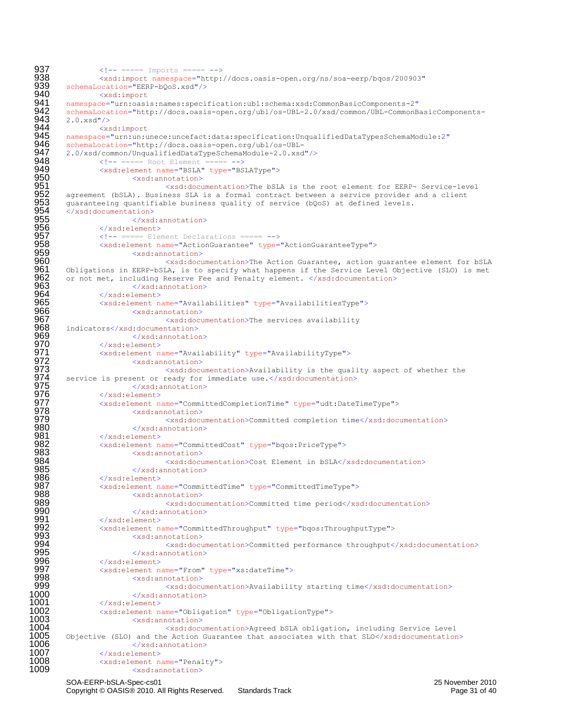```
937 \langle 1 - 3 - 32 \langle 1 - 3 - 42 \rangle \langle 1 - 3 - 52 \rangle \langle 2 - 32 \rangle \langle 1 - 32 \rangle \langle 1 - 32 \rangle \langle 1 - 32 \rangle \langle 1 - 32 \rangle \langle 1 - 32 \rangle \langle 1 - 32 \rangle \langle 1 - 32 \rangle \langle 1 - 32 \rangle \langle 1 - 32 \rangle \langle 1 - 32 \rangle \langle 1 - 32 \rangle \langle 1 - 32 \rangle \938 <xsd:import namespace="http://docs.oasis-open.org/ns/soa-eerp/bqos/200903"<br>939 schemaLocation="EERP-bQoS.xsd"/>
 939 schemaLocation="EERP-bQoS.xsd"/><br>940 <xsd:import
 940 <xsd:import<br>941 namespace="urn:oasi
 941 namespace="urn:oasis:names:specification:ubl:schema:xsd:CommonBasicComponents-2"<br>942 schemaLocation="http://docs.oasis-open.org/ubl/os-UBL-2.0/xsd/common/UBL-CommonB
 942 schemaLocation="http://docs.oasis-open.org/ubl/os-UBL-2.0/xsd/common/UBL-CommonBasicComponents-<br>943 2.0.xsd"/><br>944 <xsd:import
           943 2.0.xsd"/>
 944 <xsd:import
 945 namespace="urn:un:unece:uncefact:data:specification:UnqualifiedDataTypesSchemaModule:2"<br>946 schemaLocation="http://docs.oasis-open.org/ubl/os-UBL-<br>947 2.0/xsd/common/UnqualifiedDataTypeSchemaModule-2.0.xsd"/>
           946 schemaLocation="http://docs.oasis-open.org/ubl/os-UBL-
947 2.0/xsd/common/UnqualifiedDataTypeSchemaModule-2.0.xsd"/><br>948 <!-- ===== Root Element ===== --><br>949 <xsd:element name="BSLA" type="BSLAType"><br>950 <xsd:annotation>
                     <!-- ===== Root Element ===== -->
                     949 <xsd:element name="BSLA" type="BSLAType">
 950 <xsd:annotation><br>951 <xsd:annotation>
 951 <xsd:documentation>The bSLA is the root element for EERP- Service-level 
 952 agreement (bSLA). Business SLA is a formal contract between a service provider and a client 953 quaranteeing quantifiable business quality of service (bQoS) at defined levels.
 953 guaranteeing quantifiable business quality of service (bQoS) at defined levels.<br>954 </xsd:documentation>
 954 </xsd:documentation><br>955 </xsd:documentation>
 955 </xsd:annotation><br>956 </xsd:element>
 956 </xsd:element><br>957 <!-- ===== Ele
 957 <!-- ===== Element Declarations ===== -->
                     958 <xsd:element name="ActionGuarantee" type="ActionGuaranteeType">
 959 <xsd:annotation><br>960 <xsd:annotation>
 960 (xsd:documentation>The Action Guarantee, action guarantee element for bSLA<br>961 (obligations in EERP-bSLA, is to specify what happens if the Service Level Objective (SLO) is met
 961 Obligations in EERP-bSLA, is to specify what happens if the Service Level Objective (SLO) is met 962 or not met, including Reserve Fee and Penalty element. </xsd:documentation>
 962 or not met, including Reserve Fee and Penalty element. \langle x \rangle /xsd:documentation>
 963 </xsd:annotation><br>964 </xsd:element>
 964 </xsd:element><br>965 < xsd:element n
 965 <xsd:element name="Availabilities" type="AvailabilitiesType"><br>966 <xsd:annotation><br>967 <xsd:documentation>The services availability
                               966 <xsd:annotation>
 967 \leq xsd:documentation>The services availability<br>968 indicators</xsd:documentation>
 968 indicators</xsd:documentation><br>969 </xsd:annotation>
 969 </xsd:annotation><br>970 </xsd:element><br>971 <xsd:element name="Avail;
                     970 </xsd:element>
 971 <xsd:element name="Availability" type="AvailabilityType"><br>972 <xsd:annotation>
 972 <xsd:annotation><br>973 <xsd:docu<br>974 service is present or ready for
                                         <xsd:documentation>Availability is the quality aspect of whether the
 974 service is present or ready for immediate use.\langle x \rangle /xsd:documentation>
 975 </xsd:annotation><br>976 </xsd:element>
 976 </xsd:element><br>977 <xsd:element n
 977 <xsd:element name="CommittedCompletionTime" type="udt:DateTimeType"><br>978 <xsd:annotation>
 978 <xsd:annotation>
 979 <xsd:documentation>Committed completion time</xsd:documentation><br>980 </xsd:element><br>981 </xsd:element>
                               980 </xsd:annotation>
 981 </xsd:element>
 982 <xsd:element name="CommittedCost" type="bqos:PriceType"><br>983 <xsd:annotation>
 983 <xsd:annotation><br>984 <xsd:annotation>
 984 <xsd:documentation>Cost Element in bSLA</xsd:documentation><br>985 </xsd:annotation>
 985 </xsd:annotation><br>986 </xsd:element>
 986 </xsd:element>
 987 <xsd:element name="CommittedTime" type="CommittedTimeType"><br>988 <xsd:annotation>
 988 <xsd:annotation><br>989 <xsd:doc
 989 <xsd:documentation>Committed time period</xsd:documentation>
 990 </xsd:annotation><br>991 </xsd:element>
 991 </xsd:element><br>992 <xsd:element n
 992 <xsd:element name="CommittedThroughput" type="bqos:ThroughputType"><br>993 <xsd:annotation>
 993 \xixsd:annotation><br>994 \xixsd:docu
 994 <xsd:documentation>Committed performance throughput</xsd:documentation><br>995 </xsd:annotation>
 995 </xsd:annotation><br>996 </xsd:element>
 996 </xsd:element><br>997 <xsd:element n
 997 <xsd:element name="From" type="xs:dateTime"><br>998 <xsd:annotation>
 998 <xsd:annotation><br>999 <xsd:docu
999 \leq xsd:documentation>Availability starting time\leq xsd:documentation><br>1000 \leq xsd:annotation>
1000 </xsd:annotation><br>1001 </xsd:element>
1001 </xsd:element>
1002 <xsd:element name="Obligation" type="ObligationType">
1003 <xsd:annotation>
1004 \leq \timessd:documentation>Agreed bSLA obligation, including Service Level<br>1005 Objective (SLO) and the Action Guarantee that associates with that SLO</xsd:documentation
1005 Objective (SLO) and the Action Guarantee that associates with that SLO</xsd:documentation><br>1006 \leq/xsd:annotation>
1006 </xsd:annotation><br>1007 </xsd:element>
1007 </xsd:element>
1008 <xsd:element name="Penalty"><br>1009 <xsd:annotation>
                               <xsd:annotation>
```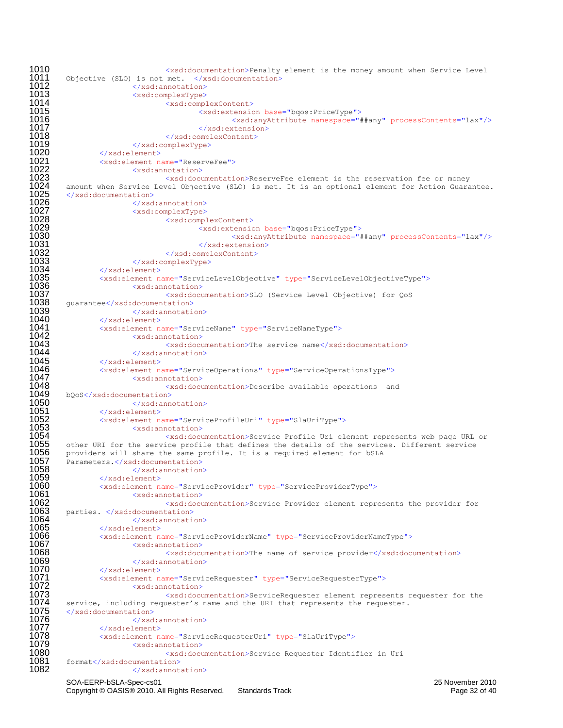```
SOA-EERP-bSLA-Spec-cs01 25 November 2010
1010 \leq xsd:documentation>Penalty element is the money amount when Service Level<br>1011 Objective (SLO) is not met. \leq xsd:documentation>
1011 Objective (SLO) is not met. \langle x \ranglexsd:documentation><br>1012 \langle x \ranglesd:annotation>
1012 </xsd:annotation><br>1013 <wrdicomplexType>
1013 <xsd:complexType>
1014 <xsd:complexContent>
1015 <xsd:extension base="bqos:PriceType">
1016 <xsd:anyAttribute namespace="##any" processContents="lax"/>
1017 </xsd:extension>
1018 </xsd:complexContent><br>1019 </xsd:complexType>
1019 </xsd:complexType><br>1020 </xsd:element>
1020 </xsd:element><br>1021 <xsd:element n<br>1022 <xsd:ar
              <xsd:element name="ReserveFee">
1022 <xsd:annotation>
1023 <xsd:documentation>ReserveFee element is the reservation fee or money 
1024 amount when Service Level Objective (SLO) is met. It is an optional element for Action Guarantee.<br>1025 </xsd:documentation>
1025 \langle x \rangle /xsd:documentation><br>1026 \langle x \rangle1026 </xsd:annotation>
1027 <xsd:complexType>
1028 <xsd:complexContent>
1029 <xsd:extension base="bqos:PriceType">
1030 <xsd:anyAttribute namespace="##any" processContents="lax"/><br>1031 - </xsd:extension>
1031 </xsd:extension>
1032 </xsd:complexContent><br>1033 </xsd:complexType>
1033 </xsd:complexType>
1034 </xsd:element>
1035 <xsd:element name="ServiceLevelObjective" type="ServiceLevelObjectiveType">
1036 <xsd:annotation>
1037 <xsd:documentation>SLO (Service Level Objective) for QoS 
1038 guarantee</xsd:documentation><br>1039 </xsd:annotati
1039 </xsd:annotation><br>1040 </xsd:element>
1040 </xsd:element>
1041 <xsd:element name="ServiceName" type="ServiceNameType"><br>1042 <xsd:annotation>
1042 <xsd:annotation>
1043 <xsd:documentation>The service name</xsd:documentation><br>1044 </xsd:annotation>
1044 </xsd:annotation>
1045 </xsd:element>
1046 <xsd:element name="ServiceOperations" type="ServiceOperationsType">
1047 <xsd:annotation>
1048 \timesxsd:documentation>Describe available operations and<br>1049 bOoS</xsd:documentation>
1049 bQoS</xsd:documentation><br>1050 </xsd:ann
1050 </xsd:annotation><br>1051 </xsd:element>
1051 </xsd:element>
1052 <xsd:element name="ServiceProfileUri" type="SlaUriType">
1053 <xsd:annotation>
1054 <xsd:documentation>Service Profile Uri element represents web page URL or 
1055 other URI for the service profile that defines the details of the services. Different service<br>1056 providers will share the same profile. It is a required element for bSLA
1056 providers will share the same profile. It is a required element for bSLA<br>1057 Parameters.</xsd:documentation>
1057 Parameters.</xsd:documentation><br>1058 </xsd:annotation>
1058 </xsd:annotation><br>1059 </xsd:element>
1059 </xsd:element>
1060 <xsd:element name="ServiceProvider" type="ServiceProviderType"><br>1061 <xsd:annotation>
1061 <xsd:annotation>
1062 <xsd:documentation>Service Provider element represents the provider for 
1063 parties. </xsd:documentation>
1064 </xsd:annotation><br>1065 </xsd:element>
1065 </xsd:element>
1066 <xsd:element name="ServiceProviderName" type="ServiceProviderNameType">
1067 <xsd:annotation>
1068 <xsd:documentation>The name of service provider</xsd:documentation>
1069 </xsd:annotation><br>1070 </xsd:element>
1070 </xsd:element><br>1071 <xsd:element n<br>1072 <xsd:ar
              1071 <xsd:element name="ServiceRequester" type="ServiceRequesterType">
1072 <xsd:annotation>
1073 \timessd:documentation>ServiceRequester element represents requester for the<br>1074 service, including requester's name and the URI that represents the requester.
1074 service, including requester's name and the URI that represents the requester.<br>1075 </xsd:documentation>
1075 </xsd:documentation><br>1076 </xsd:
1076 </xsd:annotation>
1077 </xsd:element>
1078 <xsd:element name="ServiceRequesterUri" type="SlaUriType">
1079 <xsd:annotation>
1080 <xsd:documentation>Service Requester Identifier in Uri 
1081 format</xsd:documentation><br>1082 </xsd:annot>
                      1082 </xsd:annotation>
```
Copyright © OASIS® 2010. All Rights Reserved. Standards Track Page 32 of 40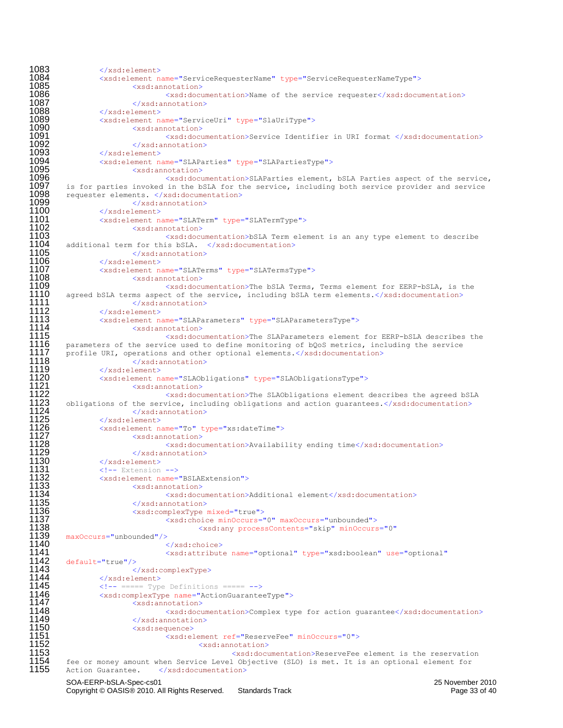```
1083 </xsd:element><br>1084 <xsd:element n
1084 <xsd:element name="ServiceRequesterName" type="ServiceRequesterNameType">
1085 <xsd:annotation>
1086 \leq xsd:documentation>Name of the service requester\leq xsd:documentation><br>1087 \leq xsd:annotation>
1087 </xsd:annotation><br>1088 </xsd:element>
1088 </xsd:element>
1089 <xsd:element name="ServiceUri" type="SlaUriType">
1090 <xsd:annotation>
1091 <xsd:documentation>Service Identifier in URI format </xsd:documentation><br>1092 </xsd:annotation>
1092 </xsd:annotation><br>1093 </xsd:element>
1093 </xsd:element>
1094 <xsd:element name="SLAParties" type="SLAPartiesType">
1095 <xsd:annotation>
1096 <xsd:documentation>SLAParties element, bSLA Parties aspect of the service, 
1097 is for parties invoked in the bSLA for the service, including both service provider and service<br>1098 Tequester elements, </xsd:documentation>
1098 requester elements. </xsd:documentation><br>1099 </xsd:annotation>
1099 </xsd:annotation><br>1100 </xsd:element>
1100 </xsd:element><br>1101 <xsd:element n
1101 <xsd:element name="SLATerm" type="SLATermType">
1102 <xsd:annotation><br>1103 <xsd:docu
1103 \timesxsd:documentation>bSLA Term element is an any type element to describe<br>1104 additional term for this bSLA. \lt/xsd:documentation>
1104 additional term for this bSLA. \langle x \rangle </xsd:documentation><br>1105 \langle x \rangle </xsd:annotation>
1105 </xsd:annotation><br>1106 </xsd:element>
1106 </xsd:element><br>1107 <xsd:element n
1107 <xsd:element name="SLATerms" type="SLATermsType"><br>1108 <xsd:annotation>
1108 <xsd:annotation>
1109 \leq xsd:documentation>The bSLA Terms, Terms element for EERP-bSLA, is the<br>1110 agreed bSLA terms aspect of the service, including bSLA term elements.</xsd:documentation>
1110 agreed bSLA terms aspect of the service, including bSLA term elements. </xsd:documentation><br>1111
1111 </xsd:annotation><br>1112 </xsd:element>
1112 </xsd:element><br>1113 <xsd:element n
1113 <xsd:element name="SLAParameters" type="SLAParametersType"><br>1114 <xsd:annotation>
1114 <xsd:annotation><br>1115 <xsd:docu
1115 \timesxsd:documentation>The SLAParameters element for EERP-bSLA describes the<br>1116 parameters of the service used to define monitoring of bQoS metrics, including the service
1116 parameters of the service used to define monitoring of bQoS metrics, including the service 1117 profile URI, operations and other optional elements. \langle xsd: documentation>
1117 profile URI, operations and other optional elements.</xsd:documentation>
1118 </xsd:annotation><br>1119 </xsd:element>
1119 </xsd:element><br>1120 <xsd:element n
1120 <xsd:element name="SLAObligations" type="SLAObligationsType"><br>1121 <xsd:annotation>
1121 <xsd:annotation><br>1122 <xsd:docu
1122 \leq \timessd:documentation>The SLAObligations element describes the agreed bSLA<br>1123 obligations of the service, including obligations and action guarantees.\leq/xsd:documentation>
1123 obligations of the service, including obligations and action guarantees.</xsd:documentation><br>1124 </xsd:element><br>1125 </xsd:element>
                           </xsd:annotation>
1125 </xsd:element><br>1126 <xsd:element n<br>1127 <xsd:ar<br>1128 <
                  1126 <xsd:element name="To" type="xs:dateTime">
                           <xsd:annotation>
1128 <xsd:documentation>Availability ending time</xsd:documentation><br>1129 </xsd:annotation>
1129 </xsd:annotation><br>1130 </xsd:element><br>1131 <!-- Extension -->
                  </xsd:element>
1131 <!-- Extension -->
1132 <xsd:element name="BSLAExtension"><br>1133 <xsd:annotation><br>1134 <xsd:documentation>
                           1133 <xsd:annotation>
1134 <xsd:documentation>Additional element</xsd:documentation><br>1135 </xsd:annotation>
1135 </xsd:annotation><br>1136 </xsd:complexType
1136 <xsd:complexType mixed="true"><br>1137 <xsd:choice minOccurs="<br>1138 <xsd:any proces"
                                    1137 <xsd:choice minOccurs="0" maxOccurs="unbounded">
1138 <xsd:any processContents="skip" minOccurs="0"
1139 maxOccurs="unbounded"/>
1140 </xsd:choice>
1141 <xsd:attribute name="optional" type="xsd:boolean" use="optional"<br>1142 default="true"/>
1142 default="true"/>
1143 </xsd:complexType><br>1144 </xsd:element>
1144 \langle x \rangle /xsd:element><br>1145 \langle x \rangle -- ===== \pivo
1145 <!-- ===== Type Definitions ===== -->
1146 <xsd:complexType name="ActionGuaranteeType"><br>1147 <xsd:annotation>
1147 <xsd:annotation>
1148 \langle xsd:documentation>Complex type for action guarantee\langle xsd:documentation><br>1149 \langle xsd:annotation>1149 </xsd:annotation><br>1150 </xsd:sequence>
1150 <xsd:sequence>
                                    -<br><xsd:element ref="ReserveFee" minOccurs="0">
1152 <xsd:annotation>
1153 <br>
1154 fee or money amount when Service Level Objective (SLO) is met. It is an optional element for
1154 fee or money amount when Service Level Objective (SLO) is met. It is an optional element for 1155 Action Guarantee. \leq/xsd:documentation>
         Action Guarantee. </xsd:documentation>
```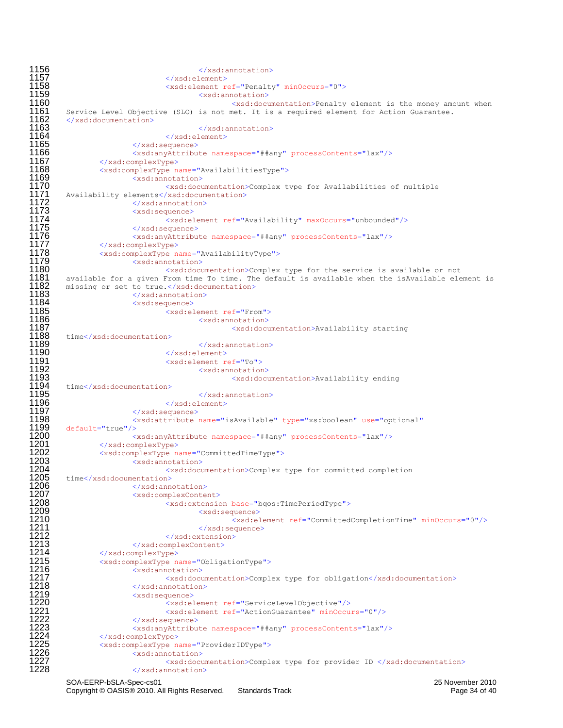```
SOA-EERP-bSLA-Spec-cs01 25 November 2010
1156 </xsd:annotation><br>1157 </xsd:element>
1157 </xsd:element>
1158 <xsd:element ref="Penalty" minOccurs="0">
1159 <xsd:annotation>
1160 <br>
Service Level Objective (SLO) is not met. It is a required element for Action Guarantee.
1161 Service Level Objective (SLO) is not met. It is a required element for Action Guarantee.<br>1162 </xsd:documentation>
1162 </xsd:documentation>
1163 </xsd:annotation>
1164 </xsd:element>
1165 </xsd:sequence><br>1166 </xsd:anyAttribu
1166 <xsd:anyAttribute namespace="##any" processContents="lax"/>
1167 </xsd:complexType>
1168 <xsd:complexType name="AvailabilitiesType"><br>1169 <xsd:annotation>
1169 <xsd:annotation>
1170 <xsd:documentation>Complex type for Availabilities of multiple<br>1171 Availability elements</xsd:documentation><br>1172 </xsd:annotation>
         Availability elements</xsd:documentation>
1172 </xsd:annotation>
1173 <xsd:sequence>
1174 <xsd:element ref="Availability" maxOccurs="unbounded"/><br>1175 </xsd:sequence><br>1176 <xsd:anyAttribute namespace="##any" processContents="lax"/>
                         \langle xsd:sequence \rangle1176 <xsd:anyAttribute namespace="##any" processContents="lax"/>
1177 </xsd:complexType>
                 1178 <xsd:complexType name="AvailabilityType">
1179 <xsd:annotation>
1180 \leq xsd:documentation>Complex type for the service is available or not<br>1181 available for a given From time To time. The default is available when the isAvailable ele
1181 available for a given From time To time. The default is available when the isAvailable element is 1182 missing or set to true.</xsd:documentation>
1182 missing or set to true. </xsd:documentation><br>1183 </xsd:annotation>
1183 </xsd:annotation><br>1184 <->>>>>>>>>><xsd:sequence>
1184 <xsd:sequence>
1185 (xsd:element ref="From"><br>1186 (xsd:annotation>
1186 <xsd:annotation>
1187 <br>1188 time</xsd:documentation> <xsd:documentation>Availability starting
1188 time</xsd:documentation>
1189 </xsd:annotation><br>1190 </xsd:element>
1190 </xsd:element>
1191 <xsd:element ref="To">
1192 <xsd:annotation>
1193 <br>
1194 time</xsd:documentation> <xsd:documentation>Availability ending
1194 time</xsd:documentation>
1195 </xsd:annotation>
1196 </xsd:element>
1197 </xsd:sequence>
1198 <xsd:attribute name="isAvailable" type="xs:boolean" use="optional"<br>1199 default="true"/><br>1200 <xsd:anyAttribute namespace="##any" processContents="lax"/><br>1201 </xsd:complexType>
         default="true"/>
                         1200 <xsd:anyAttribute namespace="##any" processContents="lax"/>
1201 </xsd:complexType>
1202 <xsd:complexType name="CommittedTimeType"><br>1203 <xsd:annotation>
1203 <xsd:annotation><br>1204 <xsd:documentation><br>1205 time</xsd:documentation><br>1206 </xsd:annotation><br>1207 <xsd:complexCont
                                 <xsd:documentation>Complex type for committed completion
         time</xsd:documentation>
                         1206 </xsd:annotation>
1207 <xsd:complexContent><br>1208 <xsd:extensi<br>1209 <xsd:extensi<br>1210 <xsd:extensi<br>1211 </xsd:extensi
                                 1208 <xsd:extension base="bqos:TimePeriodType">
                                         <xsd:sequence>
                                                 1210 <xsd:element ref="CommittedCompletionTime" minOccurs="0"/>
1211 </xsd:sequence>
1212 </xsd:extension><br>
1213 </xsd:complexTontent><br>
1214 </xsd:complexType><br>
1215 <xsd:complexType name="Obligati
                         </xsd:complexContent>
                 1214 </xsd:complexType>
1215 <xsd:complexType name="ObligationType"><br>1216 <xsd:annotation>
1216 <xsd:annotation><br>1217 <xsd:annotation><br>1218 </xsd:annotation>
                                 1217 <xsd:documentation>Complex type for obligation</xsd:documentation>
1218 </xsd:annotation>
1219 <xsd:sequence>
1220 <xsd:element ref="ServiceLevelObjective"/><br>1221 <xsd:element ref="ActionGuarantee" minOccu<br>1222 </xsd:sequence>
                                 1221 <xsd:element ref="ActionGuarantee" minOccurs="0"/>
1222 </xsd:sequence><br>1223 <arg>>>>> <xsd:anyAttribu
1223 <xsd:anyAttribute namespace="##any" processContents="lax"/><br>1224 </xsd:complexType><br>1225 <xsd:complexType name="ProviderIDType">
                 </xsd:complexType>
1225 <xsd:complexType name="ProviderIDType">
1226 <xsd:annotation><br>1227 <xsd:docu<br>1228 </xsd:annotation
                                 1227 <xsd:documentation>Complex type for provider ID </xsd:documentation>
                         </xsd:annotation>
```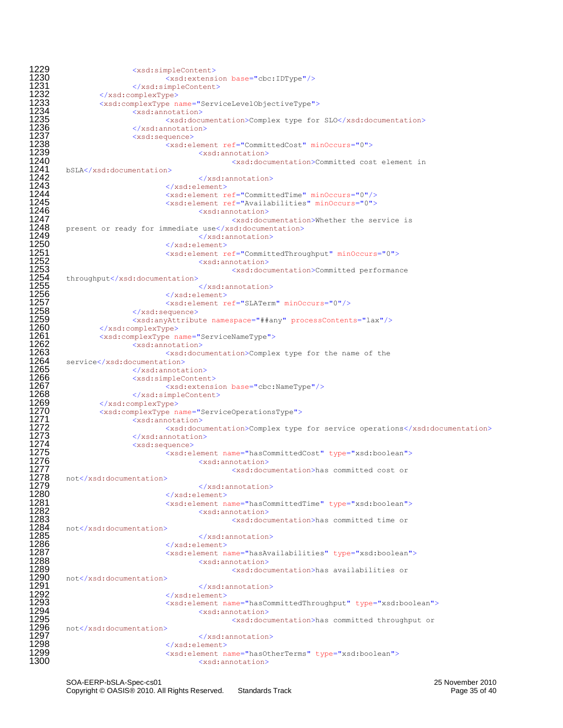```
1229 <xsd:simpleContent><br>
1230 <xsd:extensi<br>
1231 </xsd:simpleContent<br>
1232 </xsd:complexType><br>
1233 </xsd:complexType name="Serv<br>
1234 <xsd:complexType name="Serv<br>
1234 <xsd:annotation><br>
1236 </xsd:annotation><br>
1237 (xsd:
                                       1230 <xsd:extension base="cbc:IDType"/>
                             </xsd:simpleContent>
                    </xsd:complexType>
                    1233 <xsd:complexType name="ServiceLevelObjectiveType">
                             <xsd:annotation>
                                       <xsd:documentation>Complex type for SLO</xsd:documentation>
                             </xsd:annotation>
                             <xsd:sequence>
                                       1238 <xsd:element ref="CommittedCost" minOccurs="0">
1239 <xsd:annotation><br>
1240 <xsd:documentation><br>
1242 </xsd:documentation>
                                                          <xsd:documentation>Committed cost element in
          1241 bSLA</xsd:documentation>
1242 </xsd:annotation><br>1243 </xsd:element>
1243 </xsd:element>
1244 <xsd:element ref="CommittedTime" minOccurs="0"/><br>1245 <xsd:element ref="Availabilities" minOccurs="0"><br>1246 <xsd:annotation>
                                       <xsd:element ref="Availabilities" minOccurs="0">
1246 <arg>
<arg>
<arg>
<arg>
<arg>
</arg>
</arg>
</arg>
<//>
</arg>
</arg>
<//>
</arg>
</arg</arg>
<//>
</arg</arg>
<//>
</arg<//arg>
<//arg>
<//arg>
<//arg>
<//arg>
<//arg>
<//arg>
<//arg>
<//arg<//arg>
<//arg<//arg>
<//a
1247 <xsd:documentation>Whether the service is<br>1248 present or ready for immediate use</xsd:documentation>
1248 present or ready for immediate use</xsd:documentation><br>1249 </xsd:annotation>
1249 </xsd:annotation><br>
1250 </xsd:element><br>
1251 <xsd:element ref="Commit"<br>
1252 <xsd:element ref="Commit"<br>
1253 <xsd:annotation>
                                       1250 </xsd:element>
                                       1251 <xsd:element ref="CommittedThroughput" minOccurs="0">
                                                 <xsd:annotation>
1253 <xsd:documentation>Committed performance<br>1254 throughput</xsd:documentation><br>1255 </xsd:element>
          throughput</xsd:documentation>
                                                 </xsd:annotation>
1256 </xsd:element>
1257 <xsd:element ref="SLATerm" minOccurs="0"/><br>1258 </xsd:sequence><br>1259 <xsd:anyAttribute namespace="##any" processContent<br>1260 </xsd:complexType>
                             1258 </xsd:sequence>
                             1259 <xsd:anyAttribute namespace="##any" processContents="lax"/>
1260 </xsd:complexType>
1261 <xsd:complexType name="ServiceNameType">
1262 <xsd:annotation><br>1263 <xsd:docu<br>1264 service</xsd:documentation>
                                       <xsd:documentation>Complex type for the name of the
1264 service</xsd:documentation><br>1265 </xsd:annota<br>1266 <xsd:simpleC
                             </xsd:annotation>
1266 <xsd:simpleContent>
1267 <xsd:extension base="cbc:NameType"/><br>1268 </xsd:simpleContent>
1268 </xsd:simpleContent><br>1269 </xsd:complexType><br>1270 <xsd:complexType name="Servi
                    1269 </xsd:complexType>
1270 <xsd:complexType name="ServiceOperationsType">
1271 <xsd:annotation><br>1272 <xsd:docu<br>1273 </xsd:annotation><br>1274 <xsd:sequence>
                                       1272 <xsd:documentation>Complex type for service operations</xsd:documentation>
                             </xsd:annotation>
1274 <xsd:sequence>
1275 <xsd:element name="hasCommittedCost" type="xsd:boolean"><br>1276 <xsd:annotation><br>1277 <xsd:documentation><br>1278 not</xsd:documentation><br>1279 </xsd:annotation><br>1280 </xsd:element>
                                                <xsd:annotation>
                                                          <xsd:documentation>has committed cost or
          not</xsd:documentation>
                                                1279 </xsd:annotation>
1280 </xsd:element>
                                       <xsd:element name="hasCommittedTime" type="xsd:boolean">
Xxsd:annotation><br>1283 <xsd:documentation><br>1284 not</xsd:documentation>
                                                          1283 <xsd:documentation>has committed time or 
1284 not</xsd:documentation><br>1285
1285 </xsd:annotation><br>1286 </xsd:element><br>1287 <-xsd:element name="hasAva"<br>1288 <-xsd:element name="hasAva"
                                       </xsd:element>
                                       1287 <xsd:element name="hasAvailabilities" type="xsd:boolean">
1288 <xsd:annotation>
1289 <asd:documentation>has availabilities or<br>1290 not</xsd:documentation><br>1291 </xsd:annotation>
          not</xsd:documentation>
1291 </xsd:annotation><br>1292 </xsd:element>
1292 </xsd:element>
1293 <xsd:element name="hasCommittedThroughput" type="xsd:boolean">
1294 <xsd:annotation>
1295 <br>1296 not</xsd:documentation> <xsd:documentation>has committed throughput or
1296 not</xsd:documentation><br>1297 -<br>1298 -
                                                \langle x \ranglexsd: annotation>
1298 </xsd:element>
1299 <xsd:element name="hasOtherTerms" type="xsd:boolean">
                                                <xsd:annotation>
```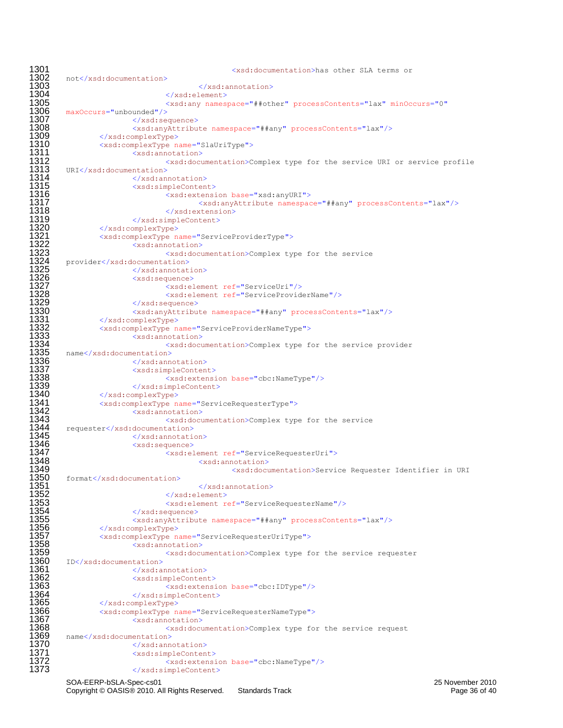```
SOA-EERP-bSLA-Spec-cs01 25 November 2010
1301 \leq xsd:documentation>has other SLA terms or<br>1302 not</xsd:documentation>
1302 not</xsd:documentation><br>1303
1303 </xsd:annotation><br>1304 </xsd:element>
1304 </xsd:element>
1305 <xsd:any namespace="##other" processContents="lax" minOccurs="0"
1306 maxOccurs="unbounded" / ><br>1307 \langle x, s \rangle1307 </xsd:sequence>
1308 <xsd:anyAttribute namespace="##any" processContents="lax"/>
1309 </xsd:complexType>
1310 <xsd:complexType name="SlaUriType"><br>1311 <xsd:annotation>
1311 <xsd:annotation>
1312 <xsd:documentation>Complex type for the service URI or service profile 
1313 URI</xsd:documentation><br>1314 </xsd:ani
1314 </xsd:annotation>
1315 <xsd:simpleContent>
1316 (xsd:extension base="xsd:anyURI"><br>1317 (xsd:anyAttribute namespack)
1317 <xsd:anyAttribute namespace="##any" processContents="lax"/><br>1318 </xsd:extension>
1318 </xsd:extension><br>1319 </xsd:simpleContent>
1319 </xsd:simpleContent><br>1320 </xsd:complexType>
1320 </xsd:complexType>
1321 <xsd:complexType name="ServiceProviderType"><br>1322 <xsd:annotation>
1322 <xsd:annotation><br>1323 <xsd:documentation><br>1324 provider</xsd:documentation><br>1325 </xsd:annotation
                             <xsd:documentation>Complex type for the service
       provider</xsd:documentation>
1325 </xsd:annotation><br>1326 <xsd:sequence><br>1327 <xsd:sequence><br>1328 <xsd:elem
                      <xsd:sequence>
                             1327 <xsd:element ref="ServiceUri"/>
1328 <xsd:element ref="ServiceProviderName"/><br>1329 </xsd:sequence>
1329 </xsd:sequence><br>1330 <xsd:anyAttribu<br>1331 </xsd:complexType><br>1332 <xsd:complexType name=
                      1330 <xsd:anyAttribute namespace="##any" processContents="lax"/>
               1331 </xsd:complexType>
1332 <xsd:complexType name="ServiceProviderNameType"><br>1333 <xsd:annotation>
1333 <xsd:annotation><br>1334 <xsd:documentation><br>1335 name</xsd:documentation><br>1336 </xsd:annotation
                             <xsd:documentation>Complex type for the service provider
        name</xsd:documentation>
1336 </xsd:annotation>
                      <xsd:simpleContent>
1338 <xsd:extension base="cbc:NameType"/>
1339 </xsd:simpleContent><br>1340 </xsd:complexType>
1340 </xsd:complexType>
1341 <xsd:complexType name="ServiceRequesterType"><br>1342 <xsd:annotation>
1342 <xsd:annotation>
1343 <xsd:documentation>Complex type for the service 
1344 requester</xsd:documentation><br>1345 </xsd:annotati
1345 </xsd:annotation>
1346 <xsd:sequence>
1347 <xsd:element ref="ServiceRequesterUri">
1348 <xsd:annotation>
1349 <xsd:documentation>Service Requester Identifier in URI 
1350 format</xsd:documentation><br>1351
1351 </xsd:annotation><br>1352 </xsd:element>
1352 </xsd:element>
1353 <xsd:element ref="ServiceRequesterName"/>
1354 </xsd:sequence>
                      1355 <xsd:anyAttribute namespace="##any" processContents="lax"/>
1356 </xsd:complexType>
1357 <xsd:complexType name="ServiceRequesterUriType"><br>1358 <xsd:annotation><br>1359 <xsd:documentation>Complex type f
                      1358 <xsd:annotation>
1359 <xsd:documentation>Complex type for the service requester 
1360 ID</xsd:documentation><br>1361 </xsd:a
1361 </xsd:annotation>
1362 <xsd:simpleContent><br>1363 <xsd:extens
1363 <xsd:extension base="cbc:IDType"/>
1364 </xsd:simpleContent><br>1365 </xsd:complexType>
1365 </xsd:complexType>
1366 <xsd:complexType name="ServiceRequesterNameType"><br>1367 <xsd:annotation>
1367 <xsd:annotation>
1368 <xsd:documentation>Complex type for the service request 
1369 name</xsd:documentation><br>1370 </xsd:ann
1370 </xsd:annotation>
1371 <xsd:simpleContent>
                             1372 <xsd:extension base="cbc:NameType"/>
                      1373 </xsd:simpleContent>
```
Copyright © OASIS® 2010. All Rights Reserved. Standards Track Page 36 of 40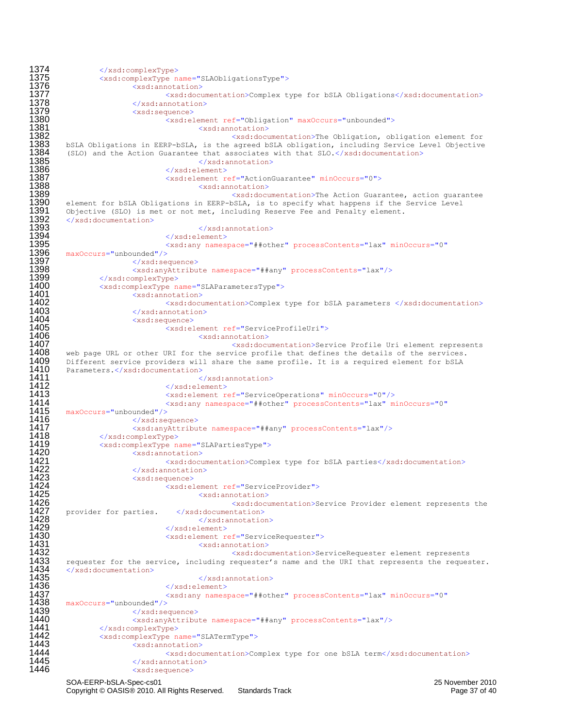```
SOA-EERP-bSLA-Spec-cs01 25 November 2010
1374 </xsd:complexType><br>1375 <xsd:complexType n
1375 <xsd:complexType name="SLAObligationsType"><br>1376 <xsd:annotation>
1376 <xsd:annotation>
1377 <xsd:documentation>Complex type for bSLA Obligations</xsd:documentation><br>1378 </xsd:annotation>
1378 </xsd:annotation>
1379 <xsd:sequence>
1380 <xsd:element ref="Obligation" maxOccurs="unbounded">
1381 <xsd:annotation>
1382 <xsd:documentation>The Obligation, obligation element for 
1383 bSLA Obligations in EERP-bSLA, is the agreed bSLA obligation, including Service Level Objective<br>1384 (SLO) and the Action Guarantee that associates with that SLO.</xsd:documentation>
1384 (SLO) and the Action Guarantee that associates with that SLO.</xsd:documentation><br>
\langle x \ranglexsd:annotation>
1385 </xsd:annotation>
1386 </xsd:element>
1387 <xsd:element ref="ActionGuarantee" minOccurs="0">
1388 <xsd:annotation>
1389 <xsd:documentation>The Action Guarantee, action guarantee 
1390 element for bSLA Obligations in EERP-bSLA, is to specify what happens if the Service Level<br>1391 Objective (SLO) is met or not met, including Reserve Fee and Penalty element.
1391 Objective (SLO) is met or not met, including Reserve Fee and Penalty element.<br>1392 </xsd:documentation>
1392 </xsd:documentation>
1393 </xsd:annotation>
1394 </xsd:element>
1395 <xsd:any namespace="##other" processContents="lax" minOccurs="0"
1396 maxOccurs="unbounded"/><br>1397 </xsd:se
1397 </xsd:sequence>
1398 <xsd:anyAttribute namespace="##any" processContents="lax"/>
1399 </xsd:complexType>
1400 <xsd:complexType name="SLAParametersType"><br>1401 <xsd:annotation>
1401 <xsd:annotation>
1402 <xsd:documentation>Complex type for bSLA parameters </xsd:documentation><br>1403 - </xsd:annotation>
1403 </xsd:annotation>
1404 <xsd:sequence>
1405 \overline{\phantom{0}} xsd:element ref="ServiceProfileUri"><br>1406 \overline{\phantom{0}} xsd:annotation>
1406 <xsd:annotation>
1407 <xsd:documentation>Service Profile Uri element represents<br>1408 web page URL or other URI for the service profile that defines the details of the services.
1408 web page URL or other URI for the service profile that defines the details of the services.<br>1409 Different service providers will share the same profile. It is a required element for bSLA
1409 Different service providers will share the same profile. It is a required element for bSLA<br>1410 Parameters.</xsd:documentation>
1410 Parameters.</xsd:documentation>
1411 </xsd:annotation><br>1412 </xsd:element>
1412 </xsd:element>
1413 <xsd:element ref="ServiceOperations" minOccurs="0"/>
1414 <xsd:any namespace="##other" processContents="lax" minOccurs="0"
1415 maxOccurs="unbounded"/>
1416 </xsd:sequence><br>1417 <xsd:anyAttribu<br>1418 </xsd:complexType>
                      1417 <xsd:anyAttribute namespace="##any" processContents="lax"/>
1418 </xsd:complexType>
1419 <xsd:complexType name="SLAPartiesType"><br>1420 <xsd:annotation>
1420 <xsd:annotation>
1421 <xsd:documentation>Complex type for bSLA parties</xsd:documentation><br>1422 </xsd:annotation>
1422 </xsd:annotation>
1423 <xsd:sequence>
1424 <xsd:element ref="ServiceProvider"><br>1425 <xsd:annotation>
xsd:annotation><br>1426 <xsd:docu<br>1427 provider for parties. </xsd:documentation>
                                          <xsd:documentation>Service Provider element represents the
1427 provider for parties. </xsd:documentation>
1428 </xsd:annotation><br>1429 </xsd:element>
1429 </xsd:element>
1430 <xsd:element ref="ServiceRequester"><br>1431 <xsd:annotation><br>1432 <xsd:annotation>Se
                                    <xsd:annotation>
1432 <xsd:documentation>ServiceRequester element represents 
1433 requester for the service, including requester's name and the URI that represents the requester.<br>1434 </xsd:documentation>
1434 </xsd:documentation>
1435 </xsd:annotation>
1436 </xsd:element>
1437 <xsd:any namespace="##other" processContents="lax" minOccurs="0"
1438 maxOccurs="unbounded"/><br>1439 </xsd:se
1439 </xsd:sequence>
1440 <xsd:anyAttribute namespace="##any" processContents="lax"/><br>1441 </xsd:complexType>
1441 </xsd:complexType>
1442 <xsd:complexType name="SLATermType"><br>1443 <xsd:annotation>
1443 <xsd:annotation>
1444 <xsd:documentation>Complex type for one bSLA term</xsd:documentation>
1445 </xsd:annotation><br>1446 </xsd:sequence>
                      <xsd:sequence>
```
Copyright © OASIS® 2010. All Rights Reserved. Standards Track Page 37 of 40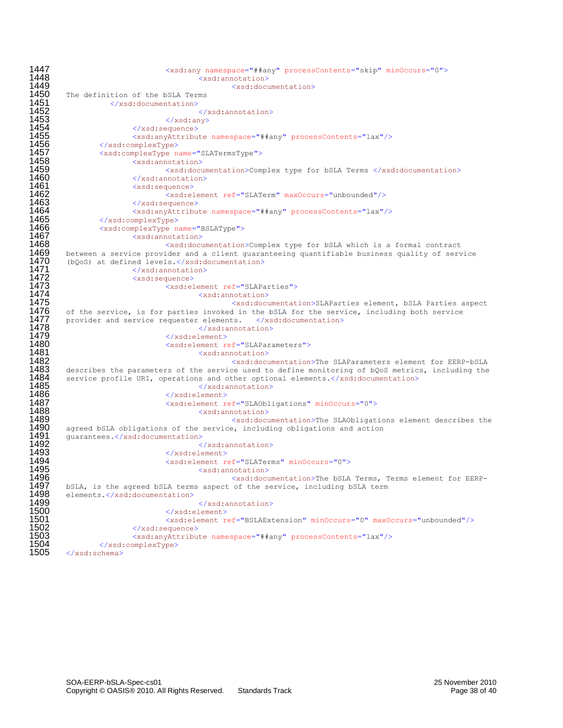```
1447 <xsd:any namespace="##any" processContents="skip" minOccurs="0">
1448 <xsd:annotation>
1449 <xsd:documentation>
1450 The definition of the bSLA Terms<br>1451 <br>1452 <br>1452 <br>1452
                 </xsd:documentation>
1452 </xsd:annotation><br>1453 </xsd:any>
1453 </xsd:any>
1454 </xsd:sequence>
1455 <xsd:anyAttribute namespace="##any" processContents="lax"/>
1456 </xsd:complexType>
1457 <xsd:complexType name="SLATermsType"><br>1458 <xsd:annotation>
1458 <xsd:annotation>
1459 \leq xsd:documentation>Complex type for bSLA Terms \leq xsd:documentation><br>1460 \leq xsd:annotation>
1460 </xsd:annotation>
1461 <xsd:sequence>
1462 <xsd:element ref="SLATerm" maxOccurs="unbounded"/><br>1463 </xsd:sequence>
1463 </xsd:sequence>
1464 <xsd:anyAttribute namespace="##any" processContents="lax"/><br>1465 </xsd:complexType>
1465 </xsd:complexType>
1466 \timesxsd:complexType name="BSLAType"><br>1467 \timesxsd:annotation>
1467 <xsd:annotation>
1468 <xsd:documentation>Complex type for bSLA which is a formal contract 
1469 between a service provider and a client guaranteeing quantifiable business quality of service 1470 (bQoS) at defined levels. \langle x \ranglesd: documentation
1470 (bQoS) at defined levels.</xsd:documentation><br>1471 (/xsd:annotation>
1471 </xsd:annotation>
                      <xsd:sequence>
1473 <xsd:element ref="SLAParties">
1474 <xsd:annotation>
1475 <br>1476 of the service, is for parties invoked in the bSLA for the service, including both service
1476 of the service, is for parties invoked in the bSLA for the service, including both service 1477 provider and service requester elements. \langle x \cdot x \cdot y \cdot z \cdot y \cdot z \cdot y \cdot z \cdot z \cdot y \cdot z \cdot z \cdot y \cdot z \cdot y \cdot z \cdot z \cdot y \cdot z \cdot y \cdot z \cdot y \cdot z \cdot y \cdot z \1477 provider and service requester elements. </xsd:documentation>
1478 </xsd:annotation>
1479 </xsd:element>
1480 <xsd:element ref="SLAParameters">
1481 <xsd:annotation>
1482 <xsd:documentation>The SLAParameters element for EERP-bSLA 
1483 describes the parameters of the service used to define monitoring of bQoS metrics, including the 1484 service profile URI, operations and other optional elements. </xsd:documentation>
1484 service profile URI, operations and other optional elements.\langle xsd:documentation\rangle1485 </xsd:annotation><br>1486 </xsd:element>
1486 </xsd:element>
1487 <xsd:element ref="SLAObligations" minOccurs="0"><br>1488 <xsd:annotation>
1488 <xsd:annotation>
1489 \leq \timessd:documentation>The SLAObligations element describes the<br>1490 agreed bSLA obligations of the service, including obligations and action
1490 agreed bSLA obligations of the service, including obligations and action 1491 quarantees.</xsd:documentation>
1491 guarantees.</xsd:documentation>
1492 </xsd:annotation>
1493 </xsd:element>
1494 <xsd:element ref="SLATerms" minOccurs="0">
1495 <xsd:annotation>
1496 \leqxsd:documentation>The bSLA Terms, Terms element for EERP-<br>1497   bSLA, is the agreed bSLA terms aspect of the service, including bSLA term
1497 bSLA, is the agreed bSLA terms aspect of the service, including bSLA term 1498 elements.\langle\ranglexsd:documentation\rangle1498 elements.</xsd:documentation>
1499 </xsd:annotation>
1500 </xsd:element>
                             1501 <xsd:element ref="BSLAExtension" minOccurs="0" maxOccurs="unbounded"/>
1502 </xsd:sequence>
1503 <xsd:anyAttribute namespace="##any" processContents="lax"/>
1504 </xsd:complexType>
```
</xsd:schema>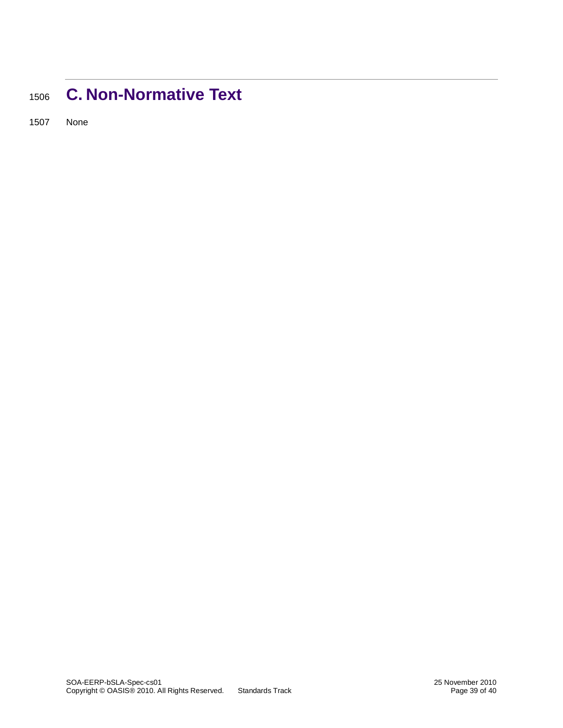# <span id="page-38-0"></span><sup>1506</sup> **C. Non-Normative Text**

1507 None